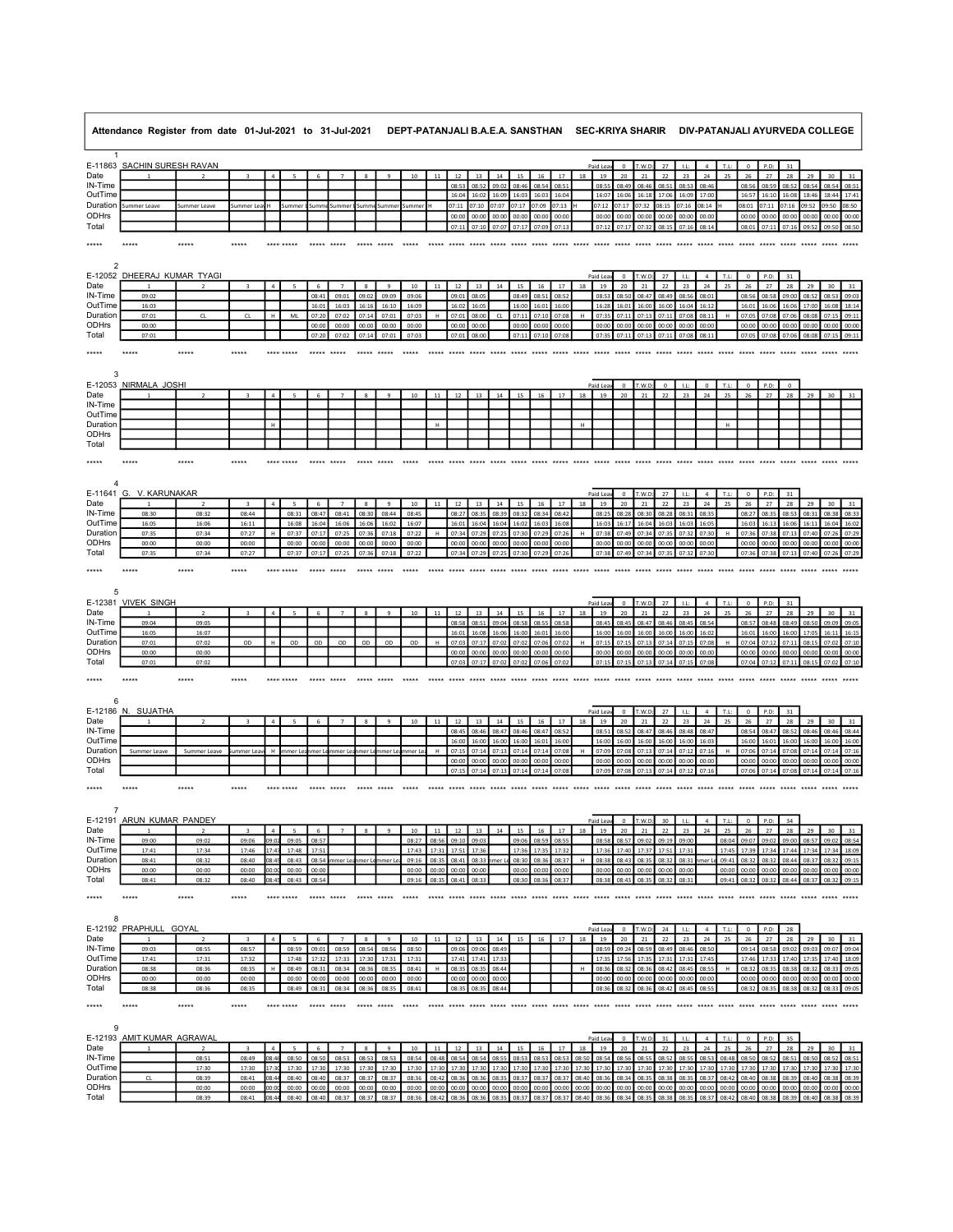|                       | Attendance Register from date 01-Jul-2021 to 31-Jul-2021 |                          |                         |                |                          |                |                |                |                  | DEPT-PATANJALI B.A.E.A. SANSTHAN SEC-KRIYA SHARIR DIV-PATANJALI AYURVEDA COLLEGE |                |                |                    |                      |                |                |                    |                |                          |                      |                   |                |                |                      |                   |                               |                |                                     |                |                                |                |
|-----------------------|----------------------------------------------------------|--------------------------|-------------------------|----------------|--------------------------|----------------|----------------|----------------|------------------|----------------------------------------------------------------------------------|----------------|----------------|--------------------|----------------------|----------------|----------------|--------------------|----------------|--------------------------|----------------------|-------------------|----------------|----------------|----------------------|-------------------|-------------------------------|----------------|-------------------------------------|----------------|--------------------------------|----------------|
| $\mathbf{1}$          | E-11863 SACHIN SURESH RAVAN                              |                          |                         |                |                          |                |                |                |                  |                                                                                  |                |                |                    |                      |                |                |                    |                | Paid Lea                 | $\mathbf 0$          | T.W.D             | 27             | LE:            | $\sqrt{4}$           | T.L:              | $\,$ 0 $\,$                   | P.D:           | 31                                  |                |                                |                |
| Date                  |                                                          |                          |                         | $\overline{a}$ |                          |                |                |                |                  | 10                                                                               |                | 12             | 13                 | 14                   | 15             | 16             | 17                 | $18\,$         | 19                       | 20                   | 21                | $22\,$         | 23             | 24                   | 25                | 26                            | 27             | $28\,$                              | 29             | 30                             | 31             |
| IN-Time               |                                                          |                          |                         |                |                          |                |                |                |                  |                                                                                  |                | 08:53          | 08:5               | 09:02                | 08:46          | 08:54          | 08:5               |                | 08:55                    | 08:49                | 08:46             | 08:51          | 08:53          | 08:46                |                   | 08:56                         | 08:59          | 08:52                               | 08:54          | 08:54                          | 08:51          |
| OutTime               |                                                          |                          |                         |                |                          |                |                |                |                  |                                                                                  |                | 16:04          | 16:02              | 16:09                | 16:03          | 16:03          | 16:04              |                | 16:07                    | 16:06                | 16:18             | 17:06          | 16:09          | 17:00                |                   | 16:57                         | 16:10          | 16:08                               | 18:46          | 18:44                          | 17:41          |
| Duration<br>ODHrs     | Summer Leave                                             | Summer Leave             | Summer Lea              |                | Summer                   | Summ           | Summer         | Summ           | Summer           | Summe                                                                            |                | 07:11<br>00:00 | 07:10<br>00:00     | 07:07<br>00:00       | 07:17<br>00:00 | 07:09<br>00:00 | 07:13<br>00:00     |                | 07:12<br>00:00           | 07:17<br>00:00       | 07:32<br>00:00    | 08:15<br>00:00 | 07:16<br>00:00 | 08:14<br>00:00       |                   | 08:01<br>00:00                | 07:11<br>00:00 | 07:16<br>00:00                      | 09:52<br>00:00 | 09:50<br>00:00                 | 08:50<br>00:00 |
| Total                 |                                                          |                          |                         |                |                          |                |                |                |                  |                                                                                  |                | 07:11          |                    | 07:10 07:07 07:17    |                | 07:09          | 07:13              |                |                          | 07:12 07:17 07:32    |                   | 08:15          | 07:16          | 08:14                |                   | 08:01                         | 07:11          | 07:16                               | 09:52          | 09:50 08:50                    |                |
|                       |                                                          |                          |                         |                |                          |                |                |                |                  |                                                                                  |                |                |                    |                      |                |                |                    |                |                          |                      |                   |                |                |                      |                   |                               |                |                                     |                |                                |                |
| *****                 | *****                                                    | *****                    | *****                   |                | **** *****               | ***** *****    |                | $+ + + + +$    | $*****$          | *****                                                                            | *****          | *****          | $*****$            |                      |                |                |                    |                |                          |                      |                   |                | $*****$        |                      |                   | ***** ***** ***** ***** ***** |                |                                     |                |                                |                |
| 2                     |                                                          |                          |                         |                |                          |                |                |                |                  |                                                                                  |                |                |                    |                      |                |                |                    |                |                          |                      |                   |                |                |                      |                   |                               |                |                                     |                |                                |                |
|                       | E-12052 DHEERAJ KUMAR TYAGI                              |                          |                         |                |                          |                |                |                |                  |                                                                                  |                |                |                    |                      |                |                |                    |                | Paid Lea                 | $\mathbf 0$          | T.W.D             | 27             | LL             | $\sqrt{4}$           | T.L               | $\,0\,$                       | P.D:           | $31\,$                              |                |                                |                |
| Date                  |                                                          |                          | $\overline{\mathbf{3}}$ | $\overline{a}$ | 5                        | 6              | $\overline{7}$ | 8              | $\overline{9}$   | $10\,$                                                                           | $11\,$         | 12             | 13                 | $14\,$               | 15             | 16             | 17                 | $18\,$         | 19                       | 20                   | 21                | 22             | 23             | 24                   | 25                | 26                            | 27             | 28                                  | 29             | 30                             | 31             |
| IN-Time<br>OutTime    | 09:02<br>16:03                                           |                          |                         |                |                          | 08:4<br>16:01  | 09:01<br>16:03 | 09:02<br>16:16 | 09:09<br>16:10   | 09:06<br>16:09                                                                   |                | 09:01<br>16:02 | 08:0<br>16:05      |                      | 08:49<br>16:00 | 08:5<br>16:01  | 08:5<br>16:00      |                | 08:5<br>16:28            | 08:5<br>16:01        | 08:47<br>16:00    | 08:49<br>16:00 | 08:5<br>16:04  | 08:01<br>16:12       |                   | 08:51<br>16:01                | 08:58<br>16:06 | 09:00<br>16:06                      | 08:5<br>17:00  | 08:5<br>16:08                  | 09:0<br>18:14  |
| Duration              | 07:01                                                    | CL                       | CL                      | H              | ML                       | 07:20          | 07:02          | 07:14          | 07:01            | 07:03                                                                            | H              | 07:01          | 08:00              | <b>CL</b>            | 07:11          | 07:10          | 07:08              | H              | 07:39                    | 07:11                | 07:13             | 07:11          | 07:08          | 08:11                | H                 | 07:05                         | 07:08          | 07:06                               | 08:08          | 07:15                          | 09:11          |
| ODHrs                 | 00:00                                                    |                          |                         |                |                          | 00:00          | 00:00          | 00:00          | 00:00            | 00:00                                                                            |                | 00:00          | 00:00              |                      | 00:00          | 00:00          | 00:00              |                | 00:00                    | 00:00                | 00:00             | 00:00          | 00:00          | 00:00                |                   | 00:00                         | 00:00          | 00:00                               | 00:00          | $00:00$ 00:00                  |                |
| Total                 | 07:01                                                    |                          |                         |                |                          | 07:21          | 07:02          | 07:14          | 07:01            | 07:03                                                                            |                | 07:01          | 08:00              |                      | 07:1           | 07:10          | 07:08              |                | 07:3                     | 07:11                | 07:13             | 07:11          | 07:08          | 08:1                 |                   | 07:09                         | 07:08          | 07:06                               | 08:08          | 07:15 09:1                     |                |
| *****                 | *****                                                    | *****                    | *****                   |                | **** *****               | *****          | *****          | *****          | *****            | *****                                                                            | *****          | *****          |                    |                      |                |                |                    |                |                          |                      |                   |                | *****          | $*****$              | *****             | $*****$                       | *****          | *****                               | *****          |                                |                |
|                       |                                                          |                          |                         |                |                          |                |                |                |                  |                                                                                  |                |                |                    |                      |                |                |                    |                |                          |                      |                   |                |                |                      |                   |                               |                |                                     |                |                                |                |
| 3                     |                                                          |                          |                         |                |                          |                |                |                |                  |                                                                                  |                |                |                    |                      |                |                |                    |                |                          |                      |                   |                |                |                      |                   |                               |                |                                     |                |                                |                |
| Date                  | E-12053 NIRMALA JOSHI                                    |                          |                         | $\Delta$       |                          |                |                |                |                  | 10                                                                               | 11             | 12             | 13                 | 14                   |                | 16             | 17                 | 18             | Paid Lea<br>19           | $\mathbf 0$<br>20    | T.W.D:<br>21      | $\circ$<br>22  | LL:<br>23      | $\circ$<br>24        | T.L:<br>25        | $\circ$<br>26                 | P.D:<br>27     | $\circ$<br>28                       | 29             | 30                             |                |
| IN-Time               |                                                          |                          |                         |                |                          |                |                |                |                  |                                                                                  |                |                |                    |                      |                |                |                    |                |                          |                      |                   |                |                |                      |                   |                               |                |                                     |                |                                |                |
| OutTime               |                                                          |                          |                         |                |                          |                |                |                |                  |                                                                                  |                |                |                    |                      |                |                |                    |                |                          |                      |                   |                |                |                      |                   |                               |                |                                     |                |                                |                |
| Duration<br>ODHrs     |                                                          |                          |                         | H              |                          |                |                |                |                  |                                                                                  | H              |                |                    |                      |                |                |                    | $\mathsf H$    |                          |                      |                   |                |                |                      | $\mathsf H$       |                               |                |                                     |                |                                |                |
| Total                 |                                                          |                          |                         |                |                          |                |                |                |                  |                                                                                  |                |                |                    |                      |                |                |                    |                |                          |                      |                   |                |                |                      |                   |                               |                |                                     |                |                                |                |
|                       |                                                          |                          | *****                   |                |                          |                |                |                |                  |                                                                                  |                |                |                    |                      |                |                |                    |                |                          |                      |                   |                |                |                      |                   |                               |                |                                     |                |                                |                |
|                       |                                                          |                          |                         |                |                          |                |                |                |                  |                                                                                  |                |                |                    |                      |                |                |                    |                |                          |                      |                   |                |                |                      |                   |                               |                |                                     |                |                                |                |
| 4                     |                                                          |                          |                         |                |                          |                |                |                |                  |                                                                                  |                |                |                    |                      |                |                |                    |                |                          |                      |                   |                |                |                      |                   |                               |                |                                     |                |                                |                |
| E-11641 G.            | V. KARUNAKAR                                             |                          |                         |                |                          |                |                |                |                  |                                                                                  |                |                |                    |                      |                |                |                    |                | Paid Lea                 | $\mathbf 0$          | T.W.D             | 27             | LL             | $\overline{a}$       | T.L:              | $\circ$                       | P.D:           | 31                                  |                |                                |                |
| Date                  |                                                          | $\overline{2}$           | $\overline{\mathbf{3}}$ | $\overline{4}$ | 5                        | 6              | $\overline{7}$ | 8              | $\overline{9}$   | $10\,$                                                                           | 11             | $12\,$         | 13                 | 14                   | 15             | 16             | $17\,$             | 18             | 19                       | 20                   | 21                | 22             | 23             | ${\bf 24}$           | 25                | 26                            | 27             | 28                                  | 29             | 30                             |                |
| IN-Time<br>OutTime    | 08:30<br>16:05                                           | 08:32<br>16:06           | 08:44<br>16:11          |                | 08:31<br>16:08           | 08:47<br>16:04 | 08:41<br>16:06 | 08:30<br>16:06 | 08:44<br>16:02   | 08:45<br>16:07                                                                   |                | 08:27<br>16:01 | 08:35<br>16:04     | 08:39<br>16:04       | 08:32<br>16:02 | 08:34<br>16:0  | 08:42<br>16:05     |                | 08:25<br>16:03           | 08:28<br>16:17       | 08:30<br>16:04    | 08:28<br>16:03 | 08:31<br>16:03 | 08:35<br>16:05       |                   | 08:27<br>16:03                | 08:35<br>16:13 | 08:53<br>16:06                      | 08:31<br>16:11 | 08:38<br>16:04                 | 08:33<br>16:07 |
| Duration              | 07:35                                                    | 07:34                    | 07:27                   | н              | 07:37                    | 07:17          | 07:25          | 07:36          | 07:18            | 07:22                                                                            | H              | 07:34          | 07:29              | 07:25                | 07:30          | 07:29          | 07:26              | H              | 07:38                    | 07:49                | 07:34             | 07:35          | 07:32          | 07:30                | H                 | 07:36                         | 07:38          | 07:13                               | 07:40          | 07:26                          | 07:29          |
| ODHrs                 | 00:00                                                    | 00:00                    | 00:00                   |                | 00:00                    | 00:00          | 00:00          | 00:00          | 00:00            | 00:00                                                                            |                | 00:00          | 00:00              | 00:00                | 00:00          | 00:00          | 00:00              |                | 00:00                    | 00:00                | 00:00             | 00:00          | 00:00          | 00:00                |                   | 00:00                         | 00:00          | 00:00                               | 00:00          | 00:0                           | 00:00          |
| Total                 | 07:35                                                    | 07:34                    | 07:27                   |                | 07:37                    | 07:17          | 07:25          | 07:36          | 07:18            | 07:22                                                                            |                | 07:34          |                    | 07:29 07:25 07:30    |                | 07:29          | 07:26              |                |                          | 07:38 07:49 07:34    |                   | 07:35          | 07:32          | 07:30                |                   | 07:36                         | 07:38          | 07:13                               |                | 07:40 07:26 07:29              |                |
| *****                 |                                                          |                          |                         |                |                          |                |                |                |                  |                                                                                  |                |                |                    |                      |                |                |                    |                |                          |                      |                   |                |                |                      |                   | *****                         | ***** *****    |                                     |                |                                |                |
|                       |                                                          |                          |                         |                |                          |                |                |                |                  |                                                                                  |                |                |                    |                      |                |                |                    |                |                          |                      |                   |                |                |                      |                   |                               |                |                                     |                |                                |                |
| 5                     | E-12381 VIVEK SINGH                                      |                          |                         |                |                          |                |                |                |                  |                                                                                  |                |                |                    |                      |                |                |                    |                | Paid Let                 | $\Omega$             | I.W.D             |                | $\pm 1$        | $\overline{a}$       | T.L               |                               | P.D            |                                     |                |                                |                |
| Date                  |                                                          | $\overline{2}$           |                         | $\overline{4}$ | 5                        | 6              | $\overline{7}$ | 8              | $\boldsymbol{9}$ | $10$                                                                             | 11             | $12$           | 13                 | 14                   | 15             | 16             | $17$               | $18\,$         | 19                       | 20                   | 21                | $27\,$<br>22   | 23             | 24                   | 25                | $^{\circ}$<br>26              | 27             | 31<br>$28\,$                        | 29             | 30                             | 31             |
| IN-Time               | 09:04                                                    | 09:05                    |                         |                |                          |                |                |                |                  |                                                                                  |                | 08:58          | 08:5               | 09:0                 | 08:5           | 08:5           | 08:5               |                | 08:4                     | 08:4!                | 08:47             | 08:46          | 08:45          | 08:5                 |                   | 08:57                         | 08:48          | 08:49                               | 08:50          | 09:09                          | 09:0           |
| OutTime               | 16:05                                                    | 16:07                    |                         |                |                          |                |                |                |                  |                                                                                  |                | 16:01          | 16:08              | 16:06                | 16:00          | 16:01          | 16:00              |                | 16:00                    | 16:00                | 16:00             | 16:00          | 16:00          | 16:02                |                   | 16:01                         | 16:00          | 16:00                               | 17:05          | 16:11                          | 16:15          |
| Duration<br>ODHrs     | 07:01<br>00:00                                           | 07:02<br>00:00           | OD                      | H              | OD                       | OD             | OD             | OD             | O <sub>D</sub>   | $_{\sf OD}$                                                                      | H              | 07:03<br>00:00 | 07:17<br>00:00     | 07:02<br>00:00       | 07:02<br>00:00 | 07:06<br>00:00 | 07:02<br>00:00     | H              | 07:15<br>00:00           | 07:15<br>00:00       | 07:13<br>00:00    | 07:14<br>00:00 | 07:15<br>00:00 | 07:08<br>00:00       | H                 | 07:04<br>00:00                | 07:12<br>00:00 | 07:11<br>00:00                      | 08:15<br>00:00 | 07:02<br>00:00                 | 07:10<br>00:00 |
| Total                 | 07:01                                                    | 07:02                    |                         |                |                          |                |                |                |                  |                                                                                  |                | 07:03          | 07:17              | 07:02                | 07:02          | 07:0           | 07:0               |                | 07:1                     | 07:15                | 07:13             | 07:14          | 07:15          | 07:08                |                   | 07:04                         | 07:12          | 07:11                               | 08:15          | 07:02                          | 07:1           |
| *****                 | *****                                                    | ****                     | ****                    |                |                          |                |                |                |                  |                                                                                  |                |                |                    |                      |                |                |                    |                |                          |                      |                   |                |                | *****                | *****             | ***** ***** *****             |                |                                     |                |                                |                |
|                       |                                                          |                          |                         |                |                          |                |                |                |                  |                                                                                  |                |                |                    |                      |                |                |                    |                |                          |                      |                   |                |                |                      |                   |                               |                |                                     |                |                                |                |
| 6                     |                                                          |                          |                         |                |                          |                |                |                |                  |                                                                                  |                |                |                    |                      |                |                |                    |                |                          |                      |                   |                |                |                      |                   |                               |                |                                     |                |                                |                |
| E-12186 N.            | SUJATHA                                                  |                          |                         |                |                          |                |                |                |                  |                                                                                  |                |                |                    |                      |                |                |                    |                | Paid Lea                 | $\,0\,$              | T.W.D             | 27             | LL:            | $\overline{4}$       | T.L:              | $\,0\,$                       | P.D:           | 31                                  |                |                                |                |
| Date<br>IN-Time       | $\mathbf{1}$                                             | $\overline{2}$           |                         | $\overline{4}$ | 5                        | 6              | $\overline{7}$ | 8              | $\overline{9}$   | $10\,$                                                                           | 11             | 12<br>08:45    | 13<br>08:46        | 14<br>08:47          | 15<br>08:46    | 16<br>08:47    | 17<br>08:52        | $18\,$         | 19<br>08:51              | 20<br>08:52          | 21<br>08:47       | 22<br>08:46    | 23<br>08:48    | 24<br>08:47          | 25                | 26<br>08:54                   | 27<br>08:47    | 28<br>08:52                         | 29<br>08:46    | 30 <sub>o</sub><br>08:46 08:44 | 31             |
| OutTime               |                                                          |                          |                         |                |                          |                |                |                |                  |                                                                                  |                | 16:00          | 16:00              | 16:00                | 16:00          | 16:01          | 16:00              |                | 16:00                    | 16:00                | 16:00             | 16:00          | 16:00          | 16:03                |                   | 16:00                         | 16:01          | 16:00                               | 16:00          | 16:00 16:00                    |                |
| Duration              | Summer Leave                                             | Summer Leave             | summer Lea              | H              | mmer L                   |                | nmer Le        | mer Le         | mmer Le          | mmer L                                                                           |                | 07:1           | 07:1               | 07:1                 | 07:14          | 07:14          | 07:08              |                | 07:09                    | 07:08                | 07:13             | 07:14          | 07:1           | 07:16                | H                 | 07:06                         | 07:14          | 07:08                               | 07:14          | 07:14                          | 07:16          |
| <b>ODHrs</b><br>Total |                                                          |                          |                         |                |                          |                |                |                |                  |                                                                                  |                | 00:00<br>07:1  | 00:00<br>07:14     | 00:00<br>07:1        | 00:00<br>07:14 | 00:00<br>07:14 | 00:00<br>$07 - 05$ |                | 00:00<br>07:0            | 00:00<br>07:03       | 00:00<br>07:1     | 00:00<br>07:14 | 00:00<br>07:1  | 00:00<br>07:1        |                   | 00:00<br>07:0                 | 00:00<br>07:14 | 00:00<br>07:05                      | 00:00<br>07:14 | 00:00<br>07:1                  | 00:00<br>07:1  |
|                       |                                                          |                          |                         |                |                          |                |                |                |                  |                                                                                  |                |                |                    |                      |                |                |                    |                |                          |                      |                   |                |                |                      |                   |                               |                |                                     |                |                                |                |
| *****                 |                                                          |                          |                         |                |                          |                |                |                |                  |                                                                                  |                |                |                    |                      |                |                |                    |                |                          |                      |                   |                |                |                      |                   |                               |                |                                     |                |                                |                |
| $\overline{7}$        |                                                          |                          |                         |                |                          |                |                |                |                  |                                                                                  |                |                |                    |                      |                |                |                    |                |                          |                      |                   |                |                |                      |                   |                               |                |                                     |                |                                |                |
|                       | E-12191 ARUN KUMAR PANDEY                                |                          |                         |                |                          |                |                |                |                  |                                                                                  |                |                |                    |                      |                |                |                    |                | Paid Lea                 |                      |                   | 30             | 1.1            |                      |                   |                               |                |                                     |                |                                |                |
| Date                  |                                                          | $\overline{2}$           |                         |                | $\overline{\phantom{a}}$ | 6              |                |                |                  | 10                                                                               | 11             | 12             | 13                 | 14                   | 15             | 16             | 17                 | 18             | 19                       | 20                   | 21                | 22             | 23             | 24                   | 25                | 26                            | 27             | 28                                  | 29             | 30                             |                |
| IN-Time               | 09:00                                                    | 09:02                    | 09:06                   |                | 09:05                    | 08:57          |                |                |                  | 08:27                                                                            | 08:56          | 09:10          | 09:0               |                      | 09:06          | 08.59          | 08:5               |                | 08:58                    | 08:57                | 09:02             | 09:19          | 09:00          |                      | 08:04             | 09:07                         | 09:02          | 09:00                               | 08:57          | 09:02                          | 08:54          |
| OutTime<br>Duration   | 17:41<br>08:41                                           | 17:34<br>08:32           | 17:46<br>08:40          |                | 17:48<br>08:43           | 17.5<br>08:54  | mer L          |                |                  | 17:47<br>09:16                                                                   | 17.7<br>08:35  | 08:41          | 08:33              |                      | 08:30          | 08:31          | 08:37              | Н              | 17 <sup>°</sup><br>08:38 | 08:43                | $17 - 3$<br>08:35 | 08:32          | 17:3<br>08:31  |                      | $17 - 4$<br>09:41 | 08:32                         | 17.3<br>08:32  | 17.4<br>08:44                       | 17.3<br>08:3   | 17.3<br>08:32                  | 18:09<br>09:15 |
| ODHrs                 | 00:00                                                    | 00:00                    | 00:00                   |                | 00:00                    | 00:00          |                |                |                  | 00:00                                                                            | 00:00          | 00:00          | 00:0               |                      | 00:00          | 00:00          | 00:00              |                | 00:00                    | 00:00                | 00:00             | 00:00          | 00:00          |                      | 00:00             | 00:00                         | 00:00          | 00:00                               | 00:00          | 00:00                          | 00:00          |
| Total                 | 08:41                                                    | 08:32                    | 08:40                   | 08:45          | 08:43                    | 08:54          |                |                |                  | 09:16 08:35 08:41 08:33                                                          |                |                |                    |                      | 08:30          | 08:36          | 08:37              |                |                          | 08:38 08:43 08:35    |                   | 08:32          | 08:31          |                      | 09:41             |                               |                | 08:32 08:32 08:44 08:37 08:32 09:15 |                |                                |                |
| *****                 | *****                                                    | *****                    | *****                   |                | **** *****               |                | ***** *****    |                |                  |                                                                                  |                |                |                    |                      |                |                |                    |                |                          |                      |                   |                |                |                      |                   |                               |                |                                     |                |                                |                |
|                       |                                                          |                          |                         |                |                          |                |                |                |                  |                                                                                  |                |                |                    |                      |                |                |                    |                |                          |                      |                   |                |                |                      |                   |                               |                |                                     |                |                                |                |
| 8                     |                                                          |                          |                         |                |                          |                |                |                |                  |                                                                                  |                |                |                    |                      |                |                |                    |                |                          |                      |                   |                |                |                      |                   |                               |                |                                     |                |                                |                |
| Date                  | E-12192 PRAPHULL GOYAL                                   |                          | $\overline{3}$          | $\sim$         | $\mathbf{S}$             | 6              | $\overline{7}$ | 8              | $\overline{9}$   | $10\,$                                                                           | $11\,$         | 12             | 13                 | 14                   | 15             | 16             | 17                 | 18             | Paid Lea<br>19           | $\circ$<br>20        | T.W.D<br>21       | 24<br>22       | LL:<br>23      | $\overline{a}$<br>24 | T.L:<br>25        | $\mathbf{0}$<br>26            | P.D:<br>27     | 28<br>28                            | 29             | 30                             | 31             |
| IN-Time               | 09:03                                                    | 08:55                    | 08:57                   |                | 08:59                    | 09:01          | 08:59          | 08:54          | 08:56            | 08:50                                                                            |                | 09:06          | 09:06              | 08:49                |                |                |                    |                | 08:59                    | 09:24                | 08:59             | 08:49          | 08:46          | 08:50                |                   | 09:14                         | 08:58          | 09:02                               | 09:03          | 09:07                          | 09:04          |
| OutTime               | 17:41                                                    | 17:31                    | 17:32                   |                | 17:48                    | 17:32          | 17:33          | 17:30          | 17:31            | 17:31                                                                            |                | 17:4           | 17:4               | 17:33                |                |                |                    |                | 17:3                     | 17:5                 | 17:35             | 17:31          | 17:31          | 17:45                |                   | 17:46                         | 17:33          | 17:40                               | 17:35          | 17:40                          | 18:09          |
| Duration<br>ODHrs     | 08:38                                                    | 08:36                    | 08:35                   | н.             | 08:49                    | 08:31          | 08:34          | 08:36          | 08:35            | 08:41                                                                            | н              | 08:35          | 08:35              | 08:44                |                |                |                    | H              | 08:36                    | 08:32                | 08:36             | 08:42          | 08:45          | 08:55                | H                 | 08:32                         | 08:35          | 08:38                               | 08:32          | 08:33                          | 09:05          |
| Total                 | 00:00<br>08:38                                           | 00:00<br>08:36           | 00:00<br>08:35          |                | 00:00<br>08:49           | 00:00<br>08:31 | 00:00<br>08:34 | 00:00<br>08:36 | 00:00<br>08:35   | 00:00<br>08:41                                                                   |                | 00:00<br>08:35 | 00:00              | 00:00<br>08:35 08:44 |                |                |                    |                | 00:00<br>08:36           | 00:00<br>08:32 08:36 | 00:00             | 00:00<br>08:42 | 00:00<br>08:45 | 00:00<br>08:55       |                   | 00:00<br>08:32                | 00:00<br>08:35 | 00:00<br>08:38 08:32                | 00:00          | 00:00<br>08:33 09:05           | 00:00          |
|                       |                                                          |                          |                         |                |                          |                |                |                |                  |                                                                                  |                |                |                    |                      |                |                |                    |                |                          |                      |                   |                |                |                      |                   |                               |                |                                     |                |                                |                |
| $****$                | *****                                                    | *****                    | *****                   |                | **** *****               | ***** *****    |                | ***** *****    |                  |                                                                                  |                |                |                    |                      |                |                |                    |                |                          |                      |                   |                |                |                      |                   |                               |                |                                     |                |                                |                |
| 9                     |                                                          |                          |                         |                |                          |                |                |                |                  |                                                                                  |                |                |                    |                      |                |                |                    |                |                          |                      |                   |                |                |                      |                   |                               |                |                                     |                |                                |                |
|                       | E-12193 AMIT KUMAR AGRAWAL                               |                          |                         |                |                          |                |                |                |                  |                                                                                  |                |                |                    |                      |                |                |                    |                | Paid Lea                 | $\circ$              | T.W.D             | 31             | LL             | $\overline{a}$       | T.L               | $\mathbf{0}$                  | P.D:           | 35                                  |                |                                |                |
| Date                  |                                                          | $\overline{\phantom{a}}$ | 3                       | $\mathbf{a}$   | 5                        | 6              | $\overline{7}$ | 8              | 9                | 10                                                                               | 11             | 12             | 13                 | 14                   | 15             | 16             | 17                 | 18             | 19                       | 20                   | 21                | 22             | 23             | 24                   | 25                | 26                            | 27             | 28                                  | 29             | 30                             | 31             |
| IN-Time<br>OutTime    |                                                          | 08:51<br>17:30           | 08:49<br>17:30          | 08:46          | 08:50<br>17:30           | 08:50<br>17:30 | 08:53<br>17:30 | 08:53<br>17:30 | 08:53<br>17:30   | 08:54<br>17:30                                                                   | 08:48<br>17:30 | 08:54<br>17:30 | 08:54<br>$17 - 30$ | 08.5<br>17:30        | 08:53<br>17:30 | 08:52<br>17:30 | 08:53<br>17:30     | 08:50<br>17:30 | 08:54<br>17:30           | 08:56<br>17:30       | 08:55<br>17:30    | 08:52<br>17:30 | 08:55<br>17:30 | 08:53<br>17:30       | 08:48<br>17:30    | 08:50<br>17:30                | 08:52<br>17:30 | 08:51<br>17:30                      | 08:50<br>17:30 | 08:52 08:51<br>17:30 17:30     |                |
| Duration              | CL                                                       | 08:39                    | 08:41                   | 3.3            | 08:40                    | 08:40          | 08:37          | 08:37          | 08:37            | 08:36                                                                            | 08:42          | 08:36          | 08:3               | 08:3                 | 08:3           | 08:3           | 08:37              | 08:40          | 08:3                     | 08:34                | 08:35             | 08:38          | 08:3           | 08:37                | 08:42             | 08:40                         | 08:38          | 08:39                               | 08:40          | 08:38                          | 08:39          |
| ODHrs                 |                                                          | 00:00                    | 00:00                   | ነበ፡ር           | 00:00                    | 00:00          | 00:00          | 00:00          | 00:00            | 00:00                                                                            | 00:00          | 00:00          | 00:00              | 00:00                | 00:00          | 00:00          | 00:00              | 00:00          | 00:00                    | 00:00                | 00:00             | 00:00          | 00:00          | 00:00                | 00:00             | 00:00                         | 00:00          | 00:00                               | 00:00          | 00:00 00:00                    |                |
| Total                 |                                                          | 08:39                    | 08:41                   |                | 08:40                    | 08:40          | 08:37          | 08:37          | 08:37            | 08:36                                                                            | 08:42          | 08:36          | 08:36              | 08:35                | 08:3           | 08:3           | 08:3               | 08:40          | 08:3                     | 08:34                | 08:35             | 08:38          | 08:35          | 08:37                | 08:42             | 08:40                         | 08:38          | 08:39                               | 08:40          | 08:38                          | 08:39          |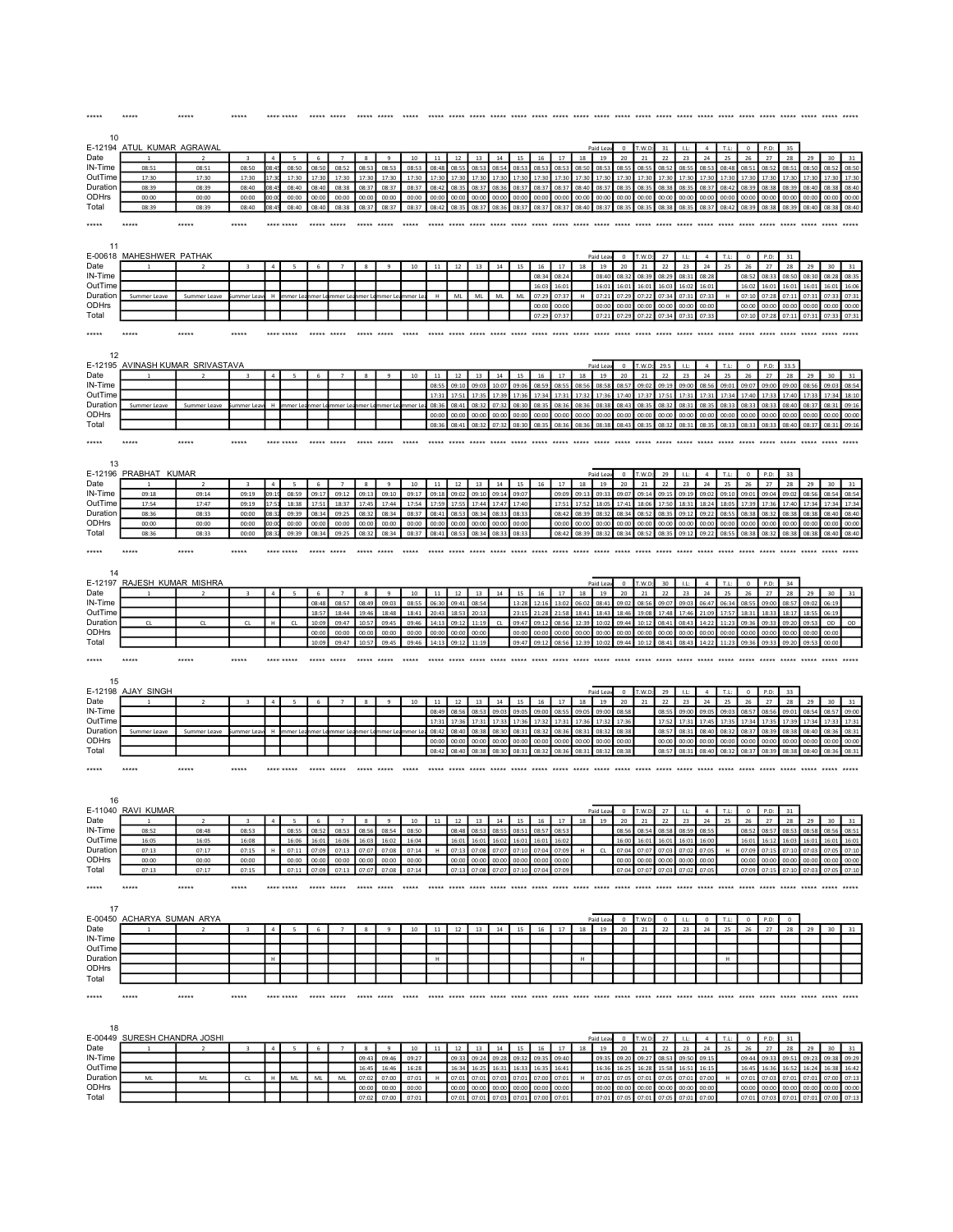| 10                                                                                              |                                  |                |                         |                       |                |                |                         |                        |                      |                |                      |                |                |                                              |                |                |                |                |                      |                      |                |                                  |                |                      |                |                   |                |                |                                              |                            |                |
|-------------------------------------------------------------------------------------------------|----------------------------------|----------------|-------------------------|-----------------------|----------------|----------------|-------------------------|------------------------|----------------------|----------------|----------------------|----------------|----------------|----------------------------------------------|----------------|----------------|----------------|----------------|----------------------|----------------------|----------------|----------------------------------|----------------|----------------------|----------------|-------------------|----------------|----------------|----------------------------------------------|----------------------------|----------------|
| E-12194                                                                                         | ATUL KUMAR AGRAWAL               |                |                         |                       |                |                |                         |                        |                      |                |                      |                |                |                                              |                |                |                |                | Paid Lea             | $\Omega$             | T.W.D          | 31                               | LL             | $\overline{4}$       | T.L:           | $\Omega$          | P.D            | 35             |                                              |                            |                |
| Date<br>IN-Time                                                                                 | 08:51                            | 08:51          | 08:50                   | $\overline{a}$<br>08: | 08:50          | 6<br>08:50     | $\overline{7}$<br>08:52 | $\mathbf{\mathcal{R}}$ | q<br>08:53           | 10<br>08:53    | 11<br>08:48          | 12<br>08:55    | 13<br>08:5     | 14<br>08:54                                  | 15<br>08:53    | 16<br>08:5     | 17<br>08:5     | 18<br>08:50    | 19<br>08:53          | 20<br>08:5!          | 21<br>08:5     | 22<br>08:52                      | 23<br>08:55    | 24<br>08:5           | 25<br>08:48    | 26<br>08:51       | 27<br>08:52    | 28<br>08:51    | 29<br>08:50                                  | 30<br>08:52                | 31<br>08:50    |
| OutTime                                                                                         | 17:30                            | 17:30          | 17:30                   |                       | 17:30          |                | 17:30                   | 17:30                  | 17:30                | 17:30          | 17:30                | 17:30          |                |                                              |                | 17:30          | 17:30          | 17:30          | 17:30                | 17:30                | 17:30          | 17:30                            | 17:30          | 17:30                | 17:30          | 17:30             | 17:30          | 17:30          | 17:30                                        | 17:30                      | 17:30          |
| Duration                                                                                        | 08:39                            | 08:39          | 08:40                   | 08:4                  | 08:40          | 08:40          | 08:38                   | 08:37                  | 08:37                | 08:37          | 08:42                | 08:35          | 08:37          | 08:36                                        | 08:37          | 08:37          | 08:37          | 08:40          | 08:37                | 08:35                | 08:35          | 08:38                            | 08:35          | 08:37                | 08:42          | 08:39             | 08:38          | 08:39          | 08:40                                        | 08:38                      | 08:40          |
| ODHrs<br>Total                                                                                  | 00:00<br>08:39                   | 00:00<br>08:39 | 00:00<br>08:40          | 00:00<br>08:45        | 00:00<br>08:40 | 00:00<br>08:40 | 00:00<br>08:38          | 00:00                  | 00:00<br>08:37 08:37 | 00:00<br>08:37 | 00:00<br>08:42 08:35 | 00:00          | 00:00          | 00:00<br>08:37 08:36 08:37 08:37 08:37       | 00:00          | 00:00          | 00:00          | 00:00          | 00:00<br>08:40 08:37 | 00:00<br>08:35       | 00:00<br>08:35 | 00:00<br>08:38 08:35             | 00:00          | 00:00<br>08:37       | 00:00<br>08:42 | 00:00<br>08:39    | 00:00<br>08:38 | 00:00          | 00:00<br>08:39 08:40 08:38 08:40             | 00:00                      | 00:00          |
|                                                                                                 |                                  |                |                         |                       |                |                |                         |                        |                      |                |                      |                |                |                                              |                |                |                |                |                      |                      |                |                                  |                |                      |                |                   |                |                |                                              |                            |                |
| *****                                                                                           | *****                            | *****          | *****                   |                       | **** *****     | *****          | *****                   | ***** *****            |                      |                | *****                | *****          | *****          | *****                                        | *****          | *****          | *****          | *****          | *****                | ***** *****          |                | *****                            | *****          |                      |                |                   | *****          |                | ***** ***** *****                            |                            |                |
| 11                                                                                              |                                  |                |                         |                       |                |                |                         |                        |                      |                |                      |                |                |                                              |                |                |                |                |                      |                      |                |                                  |                |                      |                |                   |                |                |                                              |                            |                |
|                                                                                                 | E-00618 MAHESHWER PATHAK         |                |                         |                       |                |                |                         |                        |                      |                |                      |                |                |                                              |                |                |                |                | Paid Leav            | $\overline{0}$       | T.W.D:         | 27                               | LL:            | $\overline{a}$       | T.L:           | $\mathbf 0$       | P.D:           | 31             |                                              |                            |                |
| Date                                                                                            |                                  |                |                         |                       |                |                |                         | 8                      | $\overline{9}$       | $10\,$         | $11\,$               | 12             | 13             | 14                                           | 15             | 16             | $17\,$         | 18             | 19                   | $20\,$               | 21             | 22                               | 23             | 24                   | 25             | ${\bf 26}$        | 27             | 28             | 29                                           | 30 <sup>°</sup>            | 31             |
| IN-Time<br>OutTime                                                                              |                                  |                |                         |                       |                |                |                         |                        |                      |                |                      |                |                |                                              |                | 08:34<br>16:03 | 08:24<br>16:01 |                | 08:40<br>16:01       | 08:32<br>16:01       | 08:39<br>16:01 | 08:29<br>16:03                   | 08:31<br>16:02 | 08:28<br>16:01       |                | 08:52<br>16:02    | 08:33<br>16:01 | 08:50<br>16:01 | 08:30<br>16:01                               | 08:28<br>16:01             | 08:35<br>16:06 |
| Duration                                                                                        | Summer Leave                     | Summer Leave   | ummer Lea               | H                     | mmer Le        | mer L          | mmer Le                 |                        | mmer Lea             | mmer Le        | H                    | ML             | <b>ML</b>      | ML                                           | ML             | 07:29          | 07:37          | H              | 07:21                | 07:29                | 07:22          | 07:34                            | 07:31          | 07:33                | H              | 07:10             | 07:28          | 07:11          | 07:31                                        | 07:33 07:31                |                |
| ODHrs                                                                                           |                                  |                |                         |                       |                |                |                         |                        |                      |                |                      |                |                |                                              |                | 00:00          | 00:00          |                | 00:00                | 00:00                | 00:00          | 00:00                            | 00:00          | 00:00                |                | 00:00             | 00:00          | 00:00          | 00:00                                        | 00:00                      | 00:00          |
| Total                                                                                           |                                  |                |                         |                       |                |                |                         |                        |                      |                |                      |                |                |                                              |                | 07:29          | 07:37          |                | 07:21                | 07:29                | 07:22          | 07:34                            | 07:31          | 07:33                |                | 07:10             | 07:28          | 07:11          | 07:31                                        | 07:33 07:31                |                |
| *****                                                                                           | *****                            |                |                         |                       |                |                |                         |                        |                      |                |                      |                |                |                                              |                |                |                |                |                      |                      |                |                                  |                |                      |                |                   |                |                |                                              |                            |                |
|                                                                                                 |                                  |                |                         |                       |                |                |                         |                        |                      |                |                      |                |                |                                              |                |                |                |                |                      |                      |                |                                  |                |                      |                |                   |                |                |                                              |                            |                |
| 12                                                                                              |                                  |                |                         |                       |                |                |                         |                        |                      |                |                      |                |                |                                              |                |                |                |                |                      |                      |                |                                  |                |                      |                |                   |                |                |                                              |                            |                |
| Date                                                                                            | E-12195 AVINASH KUMAR SRIVASTAVA | $\overline{z}$ | $\overline{\mathbf{3}}$ | $\overline{4}$        | 5              | 6              | $\overline{7}$          | 8                      | 9                    | 10             | 11                   | 12             | 13             | 14                                           | 15             | 16             | 17             | 18             | Paid Lea<br>19       | $\overline{0}$<br>20 | T.W.D:<br>21   | 29.5<br>22                       | 1.1<br>23      | $\overline{4}$<br>24 | T.L:<br>25     | $^{\circ}$<br>26  | P.D:<br>27     | 33.5<br>28     | 29                                           | 30                         | 31             |
| IN-Time                                                                                         |                                  |                |                         |                       |                |                |                         |                        |                      |                | 08:5                 | 09:10          | 09:0           | 10:0                                         | 09:0           | 08:5           | 08:5           | 08:56          | 08:58                | 08:5                 | 09:02          | 09:19                            | 09:00          | 08:5                 | 09:03          | 09:07             | 09:00          | 09:00          | 08:56                                        | 09:03                      | 08:54          |
| OutTime                                                                                         |                                  |                |                         |                       |                |                |                         |                        |                      |                | $17 - 3$             | 17:51          | 17:35          | 17:39                                        | 17.36          | 17:34          | 17:31          | 17:32          | 17:36                | 17:40                | 17:37          | 17:51                            | 17:31          | 17:31                | 17:34          | 17:40             | 17:33          | 17:40          | 17:33                                        | 17:34                      | 18:10          |
| Duration                                                                                        | Summer Leave                     |                | mmer Lea                | н                     | nmer l         |                | mer Le                  |                        | mer I                | amer I         | 08:36                | 08:41          | 08:32          | 07:32                                        | 08:30          | 08:3!          | 08:36          | 08:36          | 08:38                | 08:43                | 08:35          | 08:32                            | 08:31          | 08:35                | 08:33          | 08:33             | 08:33          | 08:40          | 08:37                                        | 08:31                      | 09:16          |
| ODHrs<br>Total                                                                                  |                                  |                |                         |                       |                |                |                         |                        |                      |                | 00:00<br>08:36       | 00:00<br>08:41 | 00:00<br>08:32 | 00:00<br>07:32                               | 00:00<br>08:30 | 00:00<br>08:35 | 00:00<br>08:36 | 00:00<br>08:36 | 00:00<br>08:38       | 00:00<br>08:43       | 00:00<br>08:35 | 00:00<br>08:32                   | 00:00<br>08:31 | 00:00<br>08:35       | 00:00<br>08:33 | 00:00<br>08:33    | 00:00<br>08:33 | 00:00<br>08:40 | 00:00<br>08:37                               | 00:00<br>08:31             | 00:00<br>09:16 |
|                                                                                                 |                                  |                |                         |                       |                |                |                         |                        |                      |                |                      |                |                |                                              |                |                |                |                |                      |                      |                |                                  |                |                      |                |                   |                |                |                                              |                            |                |
| *****                                                                                           | *****                            | *****          | *****                   |                       |                |                |                         |                        |                      |                | ***** *****          |                |                |                                              |                |                |                |                |                      |                      |                |                                  |                |                      |                |                   |                |                |                                              |                            |                |
|                                                                                                 |                                  |                |                         |                       |                |                |                         |                        |                      |                |                      |                |                |                                              |                |                |                |                |                      |                      |                |                                  |                |                      |                |                   |                |                |                                              |                            |                |
| 13                                                                                              | E-12196 PRABHAT KUMAR            |                |                         |                       |                |                |                         |                        |                      |                |                      |                |                |                                              |                |                |                |                | Paid Lea             | $\overline{0}$       | T.W.D          | 29                               | LL             | $\overline{4}$       | T.L:           | $\circ$           | P.D            | 33             |                                              |                            |                |
| Date                                                                                            |                                  |                |                         | $\overline{a}$        |                | $\mathbf{f}$   | $\overline{z}$          | $\mathbf{\mathbf{R}}$  | $\alpha$             | 10             | $11\,$               | 12             | 13             | 14                                           | 15             | 16             | 17             | 18             | 19                   | 20                   | 21             | 22                               | 23             | 24                   | 25             | 26                | 27             | 28             | 29                                           | 30                         | 31             |
| IN-Time                                                                                         | 09:18                            | 09:14          | 09:19                   | 09:1                  | 08:59          | 09:17          | 09:12                   | 09:13                  | 09:10                | 09:17          | 09:18                | 09:02          | 09:10          | 09:14                                        | 09:07          |                | 09:09          | 09:13          | 09:3                 | 09:07                | 09:14          | 09:15                            | 09:19          | 09:0                 | 09:10          | 09:01             | 09:04          | 09:02          | 08:56                                        | 08:54                      | 08:54          |
| OutTime                                                                                         | 17:54                            | 17:47          | 09:19                   |                       | 18:38          | 17:51          | 18:37                   | 17:45                  | 17:44                | 17:54          | 17:59                | 17:55          | 17:44          | 17:47                                        | 17:40          |                | 17:51          | 17:52          | 18:05                | 17:41                | 18:06          | 17:50                            | 18:31          | 18:24                | 18:05          | 17:39             | 17:36          | 17:40          | 17:34                                        | 17:34                      | 17:34          |
| Duration<br>ODHrs                                                                               | 08:36<br>00:00                   | 08:33<br>00:00 | 00:00<br>00:00          | 08:3<br>00:00         | 09:39<br>00:00 | 08:34<br>00:00 | 09:25<br>00:00          | 08:32<br>00:00         | 08:34<br>00:00       | 08:37<br>00:00 | 08:41<br>00:00       | 08:53<br>00:00 | 08:34<br>00:00 | 08:33<br>00:00                               | 08:33<br>00:00 |                | 08:42<br>00:00 | 08:39<br>00:00 | 08:32<br>00:00       | 08:34<br>00:00       | 08:52<br>00:00 | 08:35<br>00:00                   | 09:12<br>00:00 | 09:22<br>00:00       | 08:55<br>00:00 | 08:38<br>00:00    | 08:32<br>00:00 | 08:38<br>00:00 | 08:38<br>00:00                               | 08:40<br>00:00             | 08:40<br>00:00 |
| Total                                                                                           | 08:36                            | 08:33          | 00:00                   | 08:32                 | 09:39          | 08:34          | 09:25                   | 08:32                  | 08:34                | 08:37          | 08:41                | 08:53          | 08:34 08:33    |                                              | 08:33          |                | 08:42          |                | 08:39 08:32          | 08:34                | 08:52          | 08:35                            | 09:12          | 09:22                | 08:55          | 08:38             | 08:32          | 08:38          | 08:38                                        | 08:40                      | 08:40          |
| *****                                                                                           | *****                            | *****          |                         |                       |                |                |                         |                        |                      |                |                      |                |                |                                              |                |                |                |                |                      |                      |                |                                  |                |                      |                |                   |                |                |                                              |                            |                |
|                                                                                                 |                                  |                |                         |                       |                |                |                         |                        |                      |                |                      |                |                |                                              |                |                |                |                |                      |                      |                |                                  |                |                      |                |                   |                |                |                                              |                            |                |
| 14                                                                                              |                                  |                |                         |                       |                |                |                         |                        |                      |                |                      |                |                |                                              |                |                |                |                |                      |                      |                |                                  |                |                      |                |                   |                |                |                                              |                            |                |
|                                                                                                 | E-12197 RAJESH KUMAR MISHRA      |                |                         |                       |                |                |                         |                        |                      |                |                      |                |                |                                              |                |                |                |                | Paid Lea             | $\,$ 0               | T.W.D          | 30                               | LL:            | $\sim$               | T.L:           | $\mathbf 0$       | P.D:           | 34             |                                              |                            |                |
| Date                                                                                            |                                  |                |                         |                       |                | 6              |                         | 8                      | $\overline{9}$       | $10\,$         | $11\,$               | 12             | 13             | 14                                           | 15             | 16             | 17             | 18             | 19                   | ${\bf 20}$           | 21             | 22                               | 23             | ${\bf 24}$           | 25             | ${\bf 26}$        | $27\,$         | 28             | 29                                           | 30 <sub>o</sub>            | 31             |
| IN-Time<br>OutTime                                                                              |                                  |                |                         |                       |                | 08:48<br>18:57 | 08:57<br>18:44          | 08:49<br>19:46         | 09:03<br>18:48       | 08:55<br>18:41 | 06:30<br>20:43       | 09:41<br>18:53 | 08:54<br>20:13 |                                              | 13:28<br>23:15 | 12:16<br>21:28 | 13:02<br>21:58 | 06:02<br>18:41 | 08:41<br>18:43       | 09:02<br>18:46       | 08:56          | 09:07<br>17:48                   | 09:03<br>17:46 | 06:47<br>21:09       | 06:34          | 08:55<br>18:31    | 09:00<br>18:33 | 08:57<br>18:17 | 09:02<br>18:55                               | 06:19<br>06:19             |                |
| Duration                                                                                        | $\mathsf{CL}$                    | CL             | $\mathsf{CL}$           | H                     | ${\sf CL}$     | 10:09          | 09:47                   | 10:57                  | 09:45                | 09:46          | 14:13                | 09:12          | 11:19          | CL                                           | 09:47          | 09:12          | 08:56          | 12:39          | 10:02                | 09:44                | 19:08<br>10:12 | 08:41                            | 08:43          | 14:22                | 17:57<br>11:23 | 09:36             | 09:33          | 09:20          | 09:53                                        | OD                         | OD             |
|                                                                                                 |                                  |                |                         |                       |                |                |                         |                        |                      |                |                      | 00:00          | 00:00          |                                              | 00:00          | 00:00          | 00:00          | 00:00          | 00:00                | 00:00                | 00:00          | 00:00                            | 00:00          | 00:00                | 00:00          |                   |                |                | 00:00                                        | 00:00                      |                |
|                                                                                                 |                                  |                |                         |                       |                | 00:00          | 00:00                   | 00:00                  | 00:00                | 00:00          | 00:00                |                |                |                                              |                |                |                |                |                      |                      |                |                                  |                |                      |                | 00:00             | 00:00          | 00:00          |                                              |                            |                |
| ODHrs<br>Total                                                                                  |                                  |                |                         |                       |                | 10:09          | 09:47                   | 10:57                  | 09:45                | 09:46          | 14:13                | 09:12          | 11:19          |                                              | 09:47          | 09:12          | 08:56          | 12:39          | 10:02                | 09:44                | 10:12          | 08:41                            | 08:43          | 14:22                | 11:23          | 09:36             | 09:33          | 09:20          | 09:53                                        | 00:00                      |                |
| *****                                                                                           | *****                            | *****          | *****                   |                       | **** *****     | ***** *****    |                         |                        |                      |                |                      |                |                |                                              |                |                |                |                |                      |                      |                |                                  |                |                      |                |                   |                |                |                                              |                            |                |
|                                                                                                 |                                  |                |                         |                       |                |                |                         |                        |                      |                |                      |                |                |                                              |                |                |                |                |                      |                      |                |                                  |                |                      |                |                   |                |                |                                              |                            |                |
| 15                                                                                              |                                  |                |                         |                       |                |                |                         |                        |                      |                |                      |                |                |                                              |                |                |                |                |                      |                      |                |                                  |                |                      |                |                   |                |                |                                              |                            |                |
|                                                                                                 | E-12198 AJAY SINGH               |                |                         |                       |                |                |                         |                        |                      |                |                      |                |                |                                              |                |                |                |                | Paid Lea             | $\overline{0}$       | T.W.D:         | 29                               | 1.1            | $\mathbf{A}$         | T.L:           | $\Omega$          | P.D:           | 33             |                                              |                            |                |
|                                                                                                 |                                  | $\overline{2}$ | $\overline{\mathbf{3}}$ | $\mathbf{A}$          |                | 6              | $\overline{7}$          | 8                      | $\overline{9}$       | $10$           | $11\,$<br>08:49      | 12<br>08:5     | 13<br>08:5     | 14<br>09:0                                   | 15<br>09:0     | 16<br>09:00    | 17<br>08:5     | 18<br>09:0     | 19<br>09:0           | 20<br>08:58          | 21             | 22<br>08:5!                      | 23<br>09:00    | 24<br>09:0           | 25<br>09:0     | 26<br>08:57       | 27<br>08:5     | 28<br>09:01    | 29<br>08:54                                  | 30<br>08:57                | 09:00          |
|                                                                                                 |                                  |                |                         |                       |                |                |                         |                        |                      |                | 17:31                | 17:36          | 17:31          | 17:33                                        | 17:36          | 17:32          | 17:31          | 17:36          | 17:32                | 17:36                |                | 17:52                            | 17:31          | 17:45                | 17:35          | 17:34             | 17:35          | 17:39          | 17:34                                        | 17:33                      | 17:31          |
|                                                                                                 | Summer Leave                     |                | mmer I e                |                       | ımer l         |                |                         |                        |                      |                | 08:42                | 08:40          | 08:38          | 08:30                                        | 08:31          | 08:3           | 08:36          | 08:31          | 08:3                 | 08:38                |                | 08:5                             | 08:31          | 08:40                | 08:32          | 08:37             | 08:39          | 08:38          | 08:40                                        | 08:36                      | 08:31          |
|                                                                                                 |                                  |                |                         |                       |                |                |                         |                        |                      |                | 00:00<br>08:42       | 00:00<br>08:40 | 00:00<br>08:38 | 00:00<br>08:30                               | 00:00          | 00:00          | 00:00          | 00:00          | 00:00<br>08:32       | 00:00<br>08:38       |                | 00:00<br>08:57                   | 00:00<br>08:31 | 00:00                | 00:00<br>08:32 | 00:00<br>08:37    | 00:00<br>08:39 | 00:00<br>08:38 | 00:00<br>08:40                               | 00:00<br>08:36             | 00:00<br>08:31 |
|                                                                                                 |                                  |                |                         |                       |                |                |                         |                        |                      |                |                      |                |                |                                              | 08:31          | 08:32          | 08:36          | 08:31          |                      |                      |                |                                  |                | 08:40                |                |                   |                |                |                                              |                            |                |
|                                                                                                 | *****                            | *****          | *****                   |                       |                |                |                         |                        |                      |                |                      |                |                |                                              |                |                |                |                |                      |                      |                |                                  |                |                      |                |                   |                |                |                                              |                            |                |
|                                                                                                 |                                  |                |                         |                       |                |                |                         |                        |                      |                |                      |                |                |                                              |                |                |                |                |                      |                      |                |                                  |                |                      |                |                   |                |                |                                              |                            |                |
| 16                                                                                              |                                  |                |                         |                       |                |                |                         |                        |                      |                |                      |                |                |                                              |                |                |                |                |                      |                      |                |                                  |                |                      |                |                   |                |                |                                              |                            |                |
|                                                                                                 | E-11040 RAVI KUMAR               |                |                         |                       |                |                |                         |                        |                      |                |                      |                |                |                                              |                |                |                |                | Paid Leav            | $\circ$              | T.W.D          | 27                               | LL             | $\it 4$              | T.L:           | $\mathbf 0$       | P.D:           | 31             |                                              |                            |                |
|                                                                                                 |                                  |                |                         |                       |                |                |                         |                        |                      |                |                      | 12             | 13             | 14                                           | 15             | 16             | 17             | 18             |                      |                      |                |                                  |                |                      |                |                   |                |                | 29 <sub>1</sub>                              | ⊸a I                       |                |
| Date<br>IN-Time<br>OutTime<br>Duration<br>ODHrs<br>Total<br>*****<br>Date<br>IN-Time<br>OutTime | 08:52<br>16:05                   | 08:48<br>16:05 | 08:53<br>16:08          |                       | 08:55<br>16:06 | 08:52<br>16:01 | 08:53<br>16:06          | 08:56<br>16:03         | 08:54<br>16:02       | 08:50<br>16:04 |                      | 08:48<br>16:01 | 08:53<br>16:03 | 08:55<br>16:02                               | 08:51<br>16:01 | 08:57<br>16:01 | 08:53<br>16:02 |                |                      | 08:56<br>16:00       | 08:54<br>16:01 | 08:58<br>16:01                   | 08:59<br>16:01 | 08:55<br>16:00       |                | 08:52<br>16:01    | 08:57<br>16:12 | 08:53<br>16:03 | 08:58<br>16:01                               | 08:56<br>16:01             | 08:51<br>16:01 |
| Duration                                                                                        | 07:13                            | 07:17          | 07:15                   | н                     | 07:11          | 07:09          | 07:13                   | 07:07                  | 07:08                | 07:14          | H                    | 07:13          | 07:08          | 07:07                                        | 07:10          | 07:04          | 07:09          | H              | CL                   | 07:04                | 07:07          | 07:03                            | 07:02          | 07:05                | H              | 07:09             | 07:15          | 07:10          | 07:03                                        | 07:05                      | 07:10          |
| ODHrs                                                                                           | 00:00                            | 00:00          | 00:00                   |                       | 00:00          | 00:00          | 00:00                   | 00:00                  | 00:00                | 00:00          |                      | 00:00          | 00:00          | 00:00                                        | 00:00          | 00:00          | 00:00          |                |                      | 00:00                | 00:00          | 00:00                            | 00:00          | 00:00                |                | 00:00             | 00:00          | 00:00          | 00:00                                        | 00:00                      | 00:00          |
| Total                                                                                           | 07:13                            | 07:17          | 07:15                   |                       | 07:11          | 07:09          | 07:13                   |                        | 07:07 07:08          | 07:14          |                      |                |                | 07:13 07:08 07:07 07:10 07:04 07:09          |                |                |                |                |                      |                      |                | 07:04 07:07 07:03 07:02          |                | 07:05                |                |                   |                |                | 07:09 07:15 07:10 07:03 07:05 07:10          |                            |                |
| *****                                                                                           | $****$                           | *****          | *****                   |                       | **** *****     | ***** *****    |                         | ***** *****            |                      | *****          |                      |                |                |                                              |                |                |                |                |                      |                      |                |                                  |                |                      |                |                   |                |                |                                              |                            |                |
|                                                                                                 |                                  |                |                         |                       |                |                |                         |                        |                      |                |                      |                |                |                                              |                |                |                |                |                      |                      |                |                                  |                |                      |                |                   |                |                |                                              |                            |                |
| 17                                                                                              |                                  |                |                         |                       |                |                |                         |                        |                      |                |                      |                |                |                                              |                |                |                |                |                      |                      |                |                                  |                |                      |                |                   |                |                |                                              |                            |                |
|                                                                                                 | E-00450 ACHARYA SUMAN ARYA       |                | $\overline{\mathbf{3}}$ | $\overline{4}$        |                | $\mathbf{f}$   | $\overline{7}$          |                        | $\overline{9}$       | $10\,$         |                      |                |                |                                              | 15             | 16             | 17             | 18             | Paid Leav<br>19      | $\circ$              | T.W.D<br>21    | $\circ$<br>22                    | LL<br>23       | $\mathsf{o}$<br>24   | T.L:<br>25     | $\mathbb O$<br>26 | P.D:<br>27     | $\circ$<br>28  |                                              |                            |                |
|                                                                                                 |                                  |                |                         |                       |                |                |                         |                        |                      |                | $11\,$               | $12\,$         | 13             | 14                                           |                |                |                |                |                      | 20                   |                |                                  |                |                      |                |                   |                |                | 29                                           | 30                         | 31             |
|                                                                                                 |                                  |                |                         |                       |                |                |                         |                        |                      |                |                      |                |                |                                              |                |                |                |                |                      |                      |                |                                  |                |                      |                |                   |                |                |                                              |                            |                |
|                                                                                                 |                                  |                |                         | H                     |                |                |                         |                        |                      |                | H                    |                |                |                                              |                |                |                | H              |                      |                      |                |                                  |                |                      | H              |                   |                |                |                                              |                            |                |
|                                                                                                 |                                  |                |                         |                       |                |                |                         |                        |                      |                |                      |                |                |                                              |                |                |                |                |                      |                      |                |                                  |                |                      |                |                   |                |                |                                              |                            |                |
|                                                                                                 |                                  |                |                         |                       |                |                |                         |                        |                      |                |                      |                |                |                                              |                |                |                |                |                      |                      |                |                                  |                |                      |                |                   |                |                |                                              |                            |                |
|                                                                                                 | *****                            | *****          | *****                   |                       | **** *****     |                |                         |                        |                      |                |                      |                |                |                                              |                |                |                |                |                      |                      |                |                                  |                |                      |                |                   |                |                |                                              |                            |                |
|                                                                                                 |                                  |                |                         |                       |                |                |                         |                        |                      |                |                      |                |                |                                              |                |                |                |                |                      |                      |                |                                  |                |                      |                |                   |                |                |                                              |                            |                |
| 18                                                                                              |                                  |                |                         |                       |                |                |                         |                        |                      |                |                      |                |                |                                              |                |                |                |                |                      |                      |                |                                  |                |                      |                |                   |                |                |                                              |                            |                |
|                                                                                                 | E-00449 SURESH CHANDRA JOSHI     |                |                         |                       |                |                |                         |                        |                      |                |                      |                |                |                                              |                |                |                |                | Paid Leav            | $\bullet$            | T.W.D:         | 27                               | 1.1            | 4                    | T.L:           | $\overline{0}$    | P.D:           | 31             |                                              |                            |                |
| Date<br>IN-Time<br>OutTime<br>Duration<br>ODHrs<br>Total<br>*****<br>Date                       |                                  |                | $\overline{\mathbf{3}}$ | $\overline{a}$        | 5              | 6              | $\overline{7}$          | 8                      | 9                    | $10\,$         | 11                   | 12             | 13             | 14                                           | 15             | 16             | 17             | 18             | 19                   | 20                   | 21             | 22                               | 23             | 24                   | 25             | 26                | 27             | 28             | 29                                           | 30                         | 31             |
| IN-Time<br>OutTime                                                                              |                                  |                |                         |                       |                |                |                         | 09:43<br>16:45         | 09:46<br>16:46       | 09:27<br>16:28 |                      | 09:33<br>16:34 | 09:24<br>16:25 | 09:28<br>16:31                               | 09:32<br>16:33 | 09:35<br>16:35 | 09:40<br>16:41 |                | 09:35<br>16:36       | 09:20<br>16:25       | 09:27<br>16:28 | 08:53<br>15:58                   | 09:50<br>16:51 | 09:15<br>16:15       |                | 09:44<br>16:45    | 09:33<br>16:36 | 09:51<br>16:52 | 09:23<br>16:24                               | 09:38 09:29<br>16:38 16:42 |                |
| Duration                                                                                        | ML                               | $\mathsf{ML}$  | CL                      | H                     | ML             | ML             | ML                      | 07:02                  | 07:00                | 07:01          | $\mathsf H$          | 07:01          | 07:01          | 07:03                                        | 07:01          | 07:00          | 07:01          | $\,$ H         | 07:01                | 07:05                | 07:01          | 07:05                            | 07:01          | 07:00                | $\mathsf H$    | 07:01             | 07:03          | 07:01          | 07:01                                        | 07:00                      | 07:13          |
| ODHrs<br>Total                                                                                  |                                  |                |                         |                       |                |                |                         | 00:00<br>07:02         | 00:00<br>07:00       | 00:00<br>07:01 |                      | 00:00          | 00:00          | 00:00<br>07:01 07:01 07:03 07:01 07:00 07:01 | 00:00          | 00:00          | 00:00          |                | 00:00                | 00:00                | 00:00          | 00:00<br>07:01 07:05 07:01 07:05 | 00:00<br>07:01 | 00:00<br>07:00       |                | 00:00             | 00:00          | 00:00          | 00:00<br>07:01 07:03 07:01 07:01 07:00 07:13 | 00:00                      | 00:00          |

\*\*\*\*\* \*\*\*\*\* \*\*\*\*\* \*\*\*\*\* \*\*\*\*\*\*\*\*\*\* \*\*\*\*\* \*\*\*\*\* \*\*\*\*\* \*\*\*\*\* \*\*\*\*\* \*\*\*\*\* \*\*\*\*\* \*\*\*\*\* \*\*\*\*\* \*\*\*\*\* \*\*\*\*\* \*\*\*\*\* \*\*\*\*\* \*\*\*\*\* \*\*\*\*\* \*\*\*\*\* \*\*\*\*\* \*\*\*\*\* \*\*\*\*\* \*\*\*\*\* \*\*\*\*\* \*\*\*\*\* \*\*\*\*\* \*\*\*\*\* \*\*\*\*\* \*\*\*\*\*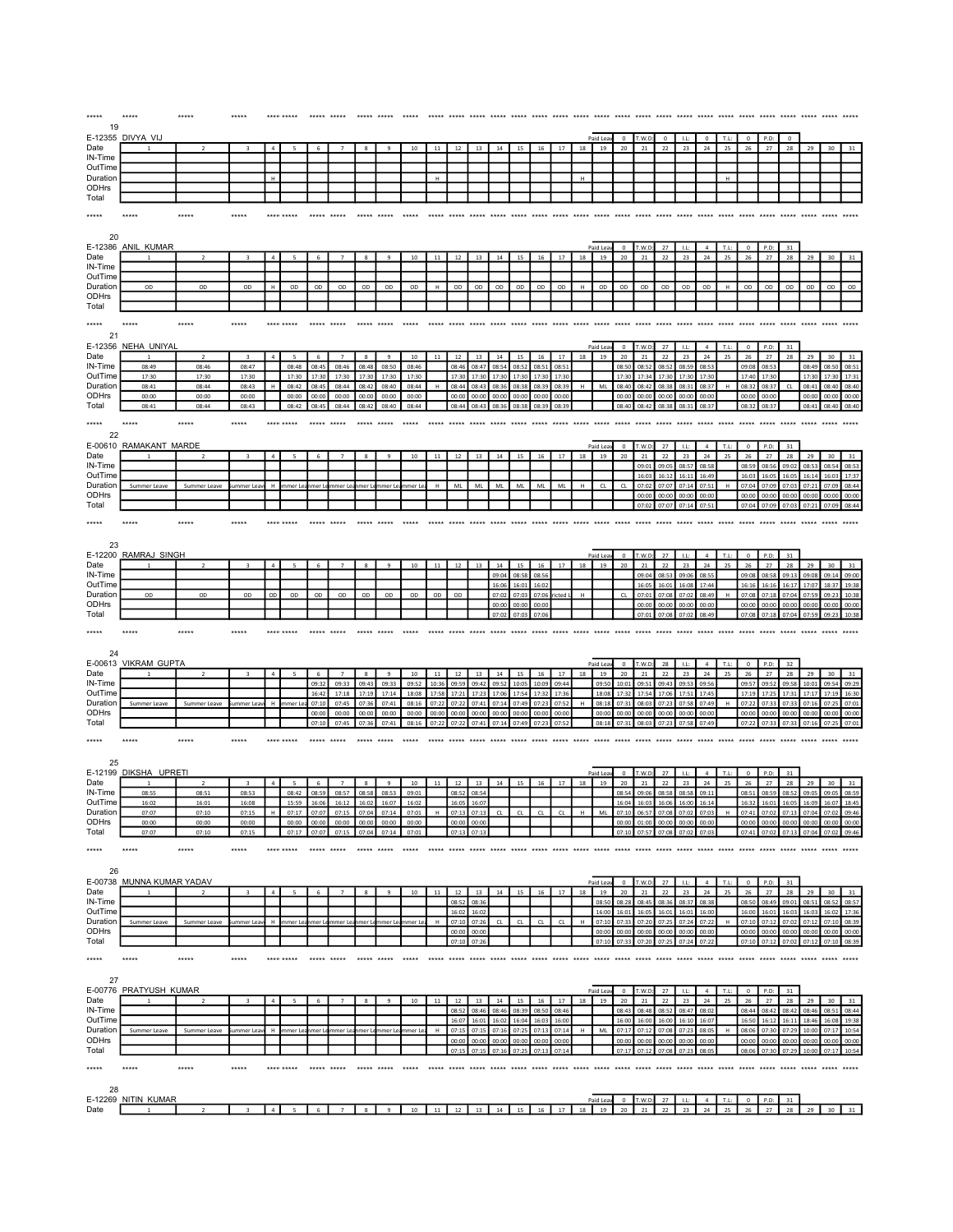| *****<br>19         | *****                     |                         |                         |                |                |                |                |                           |                              |                |                |                 |                    |                |                |                 |                |             |                |                |                   |                  |                 |                            |             |                         |                |                                     |                |                |               |
|---------------------|---------------------------|-------------------------|-------------------------|----------------|----------------|----------------|----------------|---------------------------|------------------------------|----------------|----------------|-----------------|--------------------|----------------|----------------|-----------------|----------------|-------------|----------------|----------------|-------------------|------------------|-----------------|----------------------------|-------------|-------------------------|----------------|-------------------------------------|----------------|----------------|---------------|
|                     | E-12355 DIVYA VIJ         |                         |                         |                |                |                |                |                           |                              |                |                |                 |                    |                |                |                 |                |             | Paid Leav      | $\circ$        | T.W.D:            | $\circ$          | LL              | $^{\circ}$                 | T.L:        | $^{\circ}$              | P.D:           | $^{\circ}$                          |                |                |               |
| Date                |                           |                         |                         |                |                |                |                |                           |                              | 10             | 11             | 12              | 13                 | 14             | 15             | 16              | 17             | 18          | 19             | $20\,$         | 21                | 22               | 23              | $\bf{24}$                  | 25          | 26                      | 27             | 28                                  | 29             | 30             |               |
| IN-Time<br>OutTime  |                           |                         |                         |                |                |                |                |                           |                              |                |                |                 |                    |                |                |                 |                |             |                |                |                   |                  |                 |                            |             |                         |                |                                     |                |                |               |
| Duration            |                           |                         |                         | H              |                |                |                |                           |                              |                | H              |                 |                    |                |                |                 |                | $\mathsf H$ |                |                |                   |                  |                 |                            | $\mathbf H$ |                         |                |                                     |                |                |               |
| ODHrs               |                           |                         |                         |                |                |                |                |                           |                              |                |                |                 |                    |                |                |                 |                |             |                |                |                   |                  |                 |                            |             |                         |                |                                     |                |                |               |
| Total               |                           |                         |                         |                |                |                |                |                           |                              |                |                |                 |                    |                |                |                 |                |             |                |                |                   |                  |                 |                            |             |                         |                |                                     |                |                |               |
| *****               |                           | *****                   | *****                   |                | **** *****     |                |                |                           |                              |                |                |                 |                    |                |                |                 |                |             |                |                |                   |                  |                 |                            |             |                         |                |                                     |                |                |               |
|                     |                           |                         |                         |                |                |                |                |                           |                              |                |                |                 |                    |                |                |                 |                |             |                |                |                   |                  |                 |                            |             |                         |                |                                     |                |                |               |
| 20                  | E-12386 ANIL KUMAR        |                         |                         |                |                |                |                |                           |                              |                |                |                 |                    |                |                |                 |                |             | Paid Lea       | $\,0\,$        | T.W.D:            | 27               | 1.1:            | $\sim$                     | T.L:        | $\circ$                 | P.D:           | 31                                  |                |                |               |
| Date                |                           | $\overline{2}$          |                         |                |                |                |                |                           |                              | $10\,$         | 11             | 12              | 13                 | 14             | 15             | $16\,$          | 17             | 18          | 19             | 20             | 21                | $22\,$           | 23              | $\bf{24}$                  | 25          | 26                      | 27             | 28                                  | 29             | 30             | 31            |
| IN-Time             |                           |                         |                         |                |                |                |                |                           |                              |                |                |                 |                    |                |                |                 |                |             |                |                |                   |                  |                 |                            |             |                         |                |                                     |                |                |               |
| OutTime<br>Duration | OD                        | OD                      | OD                      | $\mathsf H$    | $_{\text{OD}}$ | $_{OD}$        | OD             | OD                        | $_{OD}$                      | OD             | $\,$ H         | OD              | O <sub>D</sub>     | $_{OD}$        | OD             | OD              | $_{OD}$        | H           | $_{OD}$        | OD             | $_{OD}$           | OD               | OD              | OD                         | $\,$ H      | OD                      | OD             | $_{OD}$                             | OD             | $_{OD}$        | OD            |
| ODHrs               |                           |                         |                         |                |                |                |                |                           |                              |                |                |                 |                    |                |                |                 |                |             |                |                |                   |                  |                 |                            |             |                         |                |                                     |                |                |               |
| Total               |                           |                         |                         |                |                |                |                |                           |                              |                |                |                 |                    |                |                |                 |                |             |                |                |                   |                  |                 |                            |             |                         |                |                                     |                |                |               |
| *****               | *****                     | *****                   | *****                   |                | **** *****     | *****          |                |                           |                              |                |                |                 |                    |                |                |                 | $+ + + + +$    | $*****$     |                | ***** *****    |                   | $*****$          |                 |                            |             |                         |                | ***** ***** ***** *****             |                |                |               |
| 21                  |                           |                         |                         |                |                |                |                |                           |                              |                |                |                 |                    |                |                |                 |                |             |                |                |                   |                  |                 |                            |             |                         |                |                                     |                |                |               |
|                     | E-12356 NEHA UNIYAI       |                         |                         |                |                |                |                |                           |                              |                |                |                 |                    |                |                |                 |                |             | Paid Le        | $\circ$        | 1.001             | $27\,$           | 1.1             | $\sqrt{4}$                 | T.L         | $\mathbf 0$             | P.D:           | 31                                  |                |                |               |
| Date<br>IN-Time     | 08:49                     | $\overline{z}$<br>08:46 | 08:47                   | $\overline{a}$ | 08:48          | 6<br>08:49     | 08:46          | $\boldsymbol{8}$<br>08:48 | 9<br>08:50                   | 10<br>08:46    | $11\,$         | $12\,$<br>08:46 | 13<br>08:47        | 14<br>08:5     | 15<br>08:5     | 16<br>08:5      | 17<br>08:5     | $18\,$      | 19             | 20<br>08:51    | $21\,$<br>08:5    | $\bf 22$<br>08:5 | $23\,$<br>08:5! | 24<br>08:53                | 25          | $26\,$<br>09:08         | 27<br>08:53    | 28                                  | 29<br>08:49    | 30<br>08:50    | 31<br>08:5    |
| OutTime             | 17:30                     | 17:30                   | 17:30                   |                | 17:30          | 17:30          | 17:30          | 17:30                     | 17:30                        | 17:30          |                | 17:30           | 17:30              | 17:30          | 17:30          | 17:30           | 17:30          |             |                | 17:30          | 17:34             | 17:30            | 17:30           | 17:30                      |             | 17:40                   | 17:30          |                                     | 17:30          | 17:30          | 17:3          |
| Duration            | 08:41                     | 08:44                   | 08:43                   | н              | 08:42          | 08:45          | 08:44          | 08:42                     | 08:40                        | 08:44          | H              | 08:44           | 08:43              | 08:36          | 08:38          | 08:39           | 08:39          | н           | ML             | 08:40          | 08:42             | 08:38            | 08:31           | 08:37                      | H           | 08:32                   | 08:37          | CL                                  | 08:41          | 08:40          | 08:40         |
| ODHrs<br>Total      | 00:00<br>08:41            | 00:00<br>08:44          | 00:00<br>08:43          |                | 00:00<br>08:42 | 00:00<br>08:45 | 00:00<br>08:44 | 00:00<br>08:42            | 00:00<br>08:40               | 00:00<br>08:44 |                | 00:00<br>08:44  | 00:00<br>08:43     | 00:00<br>08:3  | 00:00<br>08:38 | 00:00           | 00:00<br>08:3  |             |                | 00:00<br>08:40 | 00:00<br>08:42    | 00:00<br>08:38   | 00:00<br>08:3   | 00:00<br>08:37             |             | 00:00<br>08:32          | 00:00<br>08:37 |                                     | 00:00<br>08:41 | 00:00<br>08:40 | 00:00<br>08:4 |
|                     |                           |                         |                         |                |                |                |                |                           |                              |                |                |                 |                    |                |                |                 |                |             |                |                |                   |                  |                 |                            |             |                         |                |                                     |                |                |               |
| *****               | *****                     | *****                   | *****                   |                | **** *****     | *****          | *****          | *****                     | *****                        | *****          | *****          | *****           | *****              | $*****$        | *****          | *****           | ***** *****    |             | *****          |                | ***** ***** ***** |                  | *****           | *****                      | *****       | *****                   | ***** *****    |                                     | ***** *****    |                |               |
| 22                  | E-00610 RAMAKANT MARDE    |                         |                         |                |                |                |                |                           |                              |                |                |                 |                    |                |                |                 |                |             | Paid Lea       | $\circ$        | T.W.D             | 27               | LL:             | $\overline{4}$             | T.L:        | $\mathbf 0$             | P.D:           | 31                                  |                |                |               |
| Date                |                           |                         |                         |                |                |                |                |                           |                              | 10             | 11             | 12              | 13                 | 14             | 15             | 16              | 17             | 18          | 19             | 20             | 21                | 22               | 23              | 24                         | 25          | 26                      | 27             | 28                                  | 29             | 30             |               |
| IN-Time             |                           |                         |                         |                |                |                |                |                           |                              |                |                |                 |                    |                |                |                 |                |             |                |                | 09:01             | 09:05            | 08:57           | 08:58                      |             | 08:59                   | 08:56          | 09:02                               | 08:53          | 08:54          | 08:5          |
| OutTime<br>Duration | Summer Leave              | Summer Leave            | ummer Lea               |                | mmer Le        | mer            | mer L          | mer I                     | mer Le                       | nmer Le        | H              | ML              | ML                 | ML             | ML             | ML              | ML             | $\mathsf H$ | ${\sf CL}$     | CL             | 16:03<br>07:02    | 16:12<br>07:07   | 16:11<br>07:14  | 16:49<br>07:51             | H           | 16:03<br>07:04          | 16:05<br>07:09 | 16:05<br>07:03                      | 16:14<br>07:21 | 16:03<br>07:09 | 17:3<br>08:4  |
| ODHrs               |                           |                         |                         |                |                |                |                |                           |                              |                |                |                 |                    |                |                |                 |                |             |                |                | 00:00             | 00:00            | 00:00           | 00:0                       |             | 00:00                   | 00:00          | 00:00                               | 00:00          | 00:00          | 00:00         |
| Total               |                           |                         |                         |                |                |                |                |                           |                              |                |                |                 |                    |                |                |                 |                |             |                |                | 07:02             | 07:07            | 07:14           | 07:5                       |             | 07:04                   | 07:09          | 07:03                               | 07:21          | 07:09          | $08 - 4$      |
| *****               |                           | *****                   |                         |                |                |                |                |                           |                              |                |                |                 |                    |                |                |                 |                |             |                |                |                   |                  |                 |                            |             |                         |                |                                     |                |                |               |
|                     |                           |                         |                         |                |                |                |                |                           |                              |                |                |                 |                    |                |                |                 |                |             |                |                |                   |                  |                 |                            |             |                         |                |                                     |                |                |               |
| 23                  | E-12200 RAMRAJ SINGH      |                         |                         |                |                |                |                |                           |                              |                |                |                 |                    |                |                |                 |                |             |                |                |                   |                  |                 |                            |             |                         |                |                                     |                |                |               |
| Date                |                           |                         |                         |                |                | 6              |                | 8                         |                              | $10\,$         | 11             | $12\,$          | 13                 | 14             | 15             | 16              | 17             | 18          | Paid Lea<br>19 | $\,$ 0<br>20   | T.W.D:<br>21      | 27<br>$22\,$     | LL:<br>23       | $\overline{4}$<br>$\bf 24$ | T.L:<br>25  | $\circ$<br>${\bf 26}$   | P.D:<br>27     | 31<br>28                            | 29             | 30             |               |
| IN-Time             |                           |                         |                         |                |                |                |                |                           |                              |                |                |                 |                    | 09:04          | 08:58          | 08:56           |                |             |                |                | 09:04             | 08:53            | 09:06           | 08:55                      |             | 09:08                   | 08:58          | 09:13                               | 09:08          | 09:14          | 09:00         |
| OutTime             |                           |                         |                         |                |                |                |                |                           |                              |                |                |                 |                    | 16:0           | 16:0           | 16:07           |                | H           |                |                | 16:0              | 16:0             | 16:08           | 17:44                      |             | 16:1                    | 16:10          | 16:17                               | 17:07          | 18:37          | 19:3          |
| Duration<br>ODHrs   | OD                        | OD                      | OD                      | OD             | OD             | OD             | OD             | OD                        | OD                           | OD             | OD             | OD              |                    | 07:02<br>00:00 | 07:03<br>00:00 | 07:06<br>00:01  |                |             |                | ${\sf CL}$     | 07:01<br>00:00    | 07:08<br>00:00   | 07:02<br>00:00  | 08:49<br>00:0              | $\mathsf H$ | 07:08<br>00:00          | 07:18<br>00:00 | 07:04<br>00:00                      | 07:59<br>00:00 | 09:23<br>00:00 | 10:38<br>00:0 |
|                     |                           |                         |                         |                |                |                |                |                           |                              |                |                |                 |                    | 07:02          | 07:03          | 07:06           |                |             |                |                | 07:01             | 07:08            | 07:02           | 08:49                      |             | 07:08                   | 07:18          | 07:04                               | 07:59          | 09:23          | 10:38         |
| Total               |                           |                         |                         |                |                |                |                |                           |                              |                |                |                 |                    |                |                |                 |                |             |                |                |                   |                  |                 |                            |             |                         |                |                                     |                |                |               |
| *****               | ****                      | *****                   | *****                   |                |                |                |                |                           |                              |                |                |                 |                    |                |                |                 |                |             |                |                |                   |                  |                 |                            |             |                         |                |                                     |                |                |               |
|                     |                           |                         |                         |                |                |                |                |                           |                              |                |                |                 |                    |                |                |                 |                |             |                |                |                   |                  |                 |                            |             |                         |                |                                     |                |                |               |
| 24                  |                           |                         |                         |                |                |                |                |                           |                              |                |                |                 |                    |                |                |                 |                |             |                |                |                   |                  |                 |                            |             |                         |                |                                     |                |                |               |
|                     | E-00613 VIKRAM GUPTA      |                         |                         |                |                |                |                |                           |                              |                |                |                 |                    |                |                |                 |                |             | Paid I e       | $\Omega$       | 1.001             | 28               | 1.1             | $\overline{4}$             | T.L         | $\circ$                 | P.D:           | 32                                  |                |                |               |
| Date<br>IN-Time     |                           |                         |                         | $\overline{4}$ |                | 09:3           | 09:33          | $\mathbf{8}$<br>09:43     | $\overline{9}$<br>09:33      | $10$<br>09:52  | $11$<br>10:3   | 12<br>09:5      | 13<br>09:4         | 14<br>09:5     | 15<br>10:09    | $16\,$<br>10:09 | 17<br>09:44    | 18          | 19<br>09:50    | 20<br>10:01    | 21<br>09:5        | 22<br>09:43      | 23<br>09:5      | 24<br>09:5                 | 25          | 26<br>09:57             | 27<br>09:52    | 28<br>09:58                         | 29<br>10:01    | 30<br>09:54    | 09:2          |
| OutTime             |                           |                         |                         |                |                | 16:42          | 17:18          | 17:19                     | 17:14                        | 18:08          | 17:58          | 17:21           | 17:23              | 17:06          | 17:54          | 17:32           | 17:36          |             | 18:08          | 17:32          | 17:54             | 17:06            | 17:51           | 17:45                      |             | 17:19                   | 17:25          | 17:31                               | 17:17          | 17:19          | 16:30         |
| Duration            | Summer Leave              | Summer Leave            | immer Lea               | H              | mmer Le        | 07:10          | 07:45          | 07:36                     | 07:41                        | 08:16          | 07:2           | 07:2            | 07:41              | 07:14          | 07:49          | 07:23           | 07:52          | H           | 08:18          | 07:31          | 08:03             | 07:23            | 07:58           | 07:49                      | H           | 07:22                   | 07:33          | 07:33                               | 07:16          | 07:25          | 07:0          |
| ODHrs<br>Total      |                           |                         |                         |                |                | 00:00<br>07:10 | 00:00<br>07:45 | 00:00<br>07:36            | 00:00<br>07:41               | 00:00<br>08:16 | 00:00<br>07:22 | 00:00<br>07:22  | 00:00<br>07:41     | 00:00<br>07:14 | 00:00<br>07:49 | 00:00<br>07:23  | 00:00<br>07:52 |             | 00:00<br>08:18 | 00:00<br>07:31 | 00:00<br>08:03    | 00:00<br>07:23   | 00:00<br>07:58  | 00:00<br>07:49             |             | 00:00<br>07:22          | 00:00<br>07:33 | 00:00<br>07:33                      | 00:00<br>07:16 | 00:00<br>07:25 | 00:00<br>07:0 |
|                     |                           | *****                   | *****                   |                |                | *****          | *****          | *****                     | *****                        |                |                |                 |                    |                |                | *****           | *****          |             | *****          | *****          |                   |                  |                 |                            |             |                         |                |                                     |                |                |               |
| *****               | ****                      |                         |                         |                |                |                |                |                           |                              |                |                |                 |                    |                |                |                 |                |             |                |                |                   |                  |                 |                            |             |                         |                |                                     |                |                |               |
| 25                  |                           |                         |                         |                |                |                |                |                           |                              |                |                |                 |                    |                |                |                 |                |             |                |                |                   |                  |                 |                            |             |                         |                |                                     |                |                |               |
|                     | E-12199 DIKSHA UPRETI     |                         |                         |                |                |                |                |                           |                              |                |                |                 |                    |                |                |                 |                |             | Paid Leav      | $\,0\,$        | T.W.D             | 27               | LL:             | $\sim$                     | T.L:        | $\,0\,$                 | P.D:           | 31                                  |                |                |               |
| Date<br>IN-Time     | 08:55                     | 08:51                   | 08:53                   |                | 08:42          | 6<br>08:59     | 08:57          | 8<br>08:58                | 9<br>08:53                   | 10<br>09:01    | 11             | 12<br>08:52     | 13<br>08:54        | 14             | 15             | 16              | 17             | 18          | 19             | 20<br>08:54    | 21<br>09:06       | 22<br>08:58      | 23<br>08:58     | 24<br>09:11                | 25          | 26<br>08:51             | 27<br>08:59    | 28<br>08:52                         | 29<br>09:05    | 30<br>09:05    | 08:59         |
| OutTime             | 16:02                     | 16:01                   | 16:08                   |                | 15:59          | 16:06          | 16:12          | 16:02                     | 16:07                        | 16:02          |                | 16:05           | 16:07              |                |                |                 |                |             |                | 16:04          | 16:03             | 16:06            | 16:00           | 16:14                      |             |                         | 16:32 16:01    | 16:05                               | 16:09          | 16:07          | 18:45         |
| Duration            | 07:07<br>00:00            | 07:10<br>00:00          | 07:15<br>00:00          |                | 07:17<br>00:00 | 00:00          | 07:15<br>00:00 | 00:00                     | 07:1                         | 07:0<br>00:00  |                | 07:1<br>00:00   | 00:0               |                |                |                 |                |             | M              | 00:00          | 01:00             | 00:00            | 00:00           | 07:03<br>00:0              | H           | 07:41<br>00:00          | 00:00          | 00:00                               | 00:00          | 00:00          | 00:00         |
| ODHrs<br>Total      | 07:07                     | 07:10                   | 07:15                   |                | 07:17          | 07:07          | 07:15          | 07:0                      | 00:00<br>07:14               | 07:01          |                | 07:1            | $07-1$             |                |                |                 |                |             |                |                | $07 - 5$          |                  |                 | $07 - C$                   |             | 07:4                    | 07:0           | 07:1                                | 07:04          | 07:02          |               |
| *****               | ****:                     | *****                   | *****                   |                | **** *****     | *****          |                | *****                     |                              |                |                |                 |                    |                |                |                 |                |             |                |                | ***** ***** ***** |                  |                 |                            |             |                         |                |                                     |                |                |               |
|                     |                           |                         |                         |                |                |                |                |                           |                              |                |                |                 |                    |                |                |                 |                |             |                |                |                   |                  |                 |                            |             |                         |                |                                     |                |                |               |
| 26                  |                           |                         |                         |                |                |                |                |                           |                              |                |                |                 |                    |                |                |                 |                |             |                |                |                   |                  |                 |                            |             |                         |                |                                     |                |                |               |
|                     | E-00738 MUNNA KUMAR YADAV |                         |                         |                |                |                |                |                           |                              |                |                |                 |                    |                |                |                 |                |             | Paid Le        | $\circ$        | T.W.L             | 27               |                 | $\overline{a}$             | T.L         | $\mathbf 0$             | P.D            | 31                                  |                |                |               |
| Date                |                           |                         | $\overline{\mathbf{3}}$ | $\mathbf{a}$   |                | 6              |                | $\mathbf{\mathcal{R}}$    | q                            | 10             | 11             | 12<br>$08 -$    | 13<br>ng-          | 14             | 15             | 16              | 17             | 18          | 19             | 20             | 21<br>$08 - 4$    | 22<br>ns∙s       | 23              | 24                         | 25          | 26<br><b>ng-5</b>       | 27             | 28                                  | 29             | 30             | 08.5          |
| IN-Time<br>OutTime  |                           |                         |                         |                |                |                |                |                           |                              |                |                | 16:07           | 16:02              |                |                |                 |                |             | 08:5<br>16:0   |                |                   |                  | 08:3<br>16:0    | 08:3<br>16:0               |             | 16:0                    | 08:49<br>16:0  | 09:0<br>16:0                        | 08:5<br>16:0   | 08:5<br>16:07  |               |
| Duration            | Summer Leave              | Summer Leave            | mmer Le                 |                | mmer L         | mer            | nmer L         | mer I                     | imer Li                      | nmer L         |                | 07:1            | 07:2               |                | CL             | CL              | CL             |             | 07:1           |                | 07:20             | 07:2             | 07:2            | 07:2                       |             | 07:10                   | 07:1           | 07:0                                | 07:1           | 07:10          | 08:3          |
| ODHrs               |                           |                         |                         |                |                |                |                |                           |                              |                |                | 00:00           | 00:00<br>$07 - 21$ |                |                |                 |                |             | 00:00          | 00:00<br>07:33 | 00:00             | 00:00<br>07:25   | 00:00           | 00:00<br>07:2              |             | 00:00                   | 00:00          | 00:00                               | 00:00          | 00:00          | 00:00         |
| Total               |                           |                         |                         |                |                |                |                |                           |                              |                |                | 07:10           |                    |                |                |                 |                |             | 07:10          |                | 07:20             |                  | 07:24           |                            |             |                         | 07:10 07:12    | 07:02                               | 07:12          | 07:10 08:39    |               |
| *****               | *****                     | *****                   | *****                   |                | **** *****     | ***** *****    |                | ***** *****               |                              | $****$         |                |                 |                    |                |                |                 |                |             |                |                |                   |                  |                 |                            |             |                         |                |                                     |                |                |               |
| 27                  |                           |                         |                         |                |                |                |                |                           |                              |                |                |                 |                    |                |                |                 |                |             |                |                |                   |                  |                 |                            |             |                         |                |                                     |                |                |               |
|                     | E-00776 PRATYUSH KUMAR    |                         |                         |                |                |                |                |                           |                              |                |                |                 |                    |                |                |                 |                |             | Paid Lea       | $\circ$        | T.W.D             | $27\,$           | LL:             | $\sqrt{4}$                 | T.L:        | $\overline{\mathbf{0}}$ | P.D:           | 31                                  |                |                |               |
| Date                |                           |                         | $\overline{\mathbf{z}}$ | $\overline{4}$ | 5              | 6              | $\overline{7}$ | $\boldsymbol{8}$          | $\overline{9}$               | 10             | $11\,$         | 12              | 13                 | 14             | 15             | 16              | 17             | 18          | 19             | 20             | 21                | 22               | 23              | 24                         | 25          | 26                      | 27             | 28                                  | 29             | 30             | 31            |
| IN-Time<br>OutTime  |                           |                         |                         |                |                |                |                |                           |                              |                |                | 08:9<br>16:07   | 08:4<br>16:01      | 16:02          | 08:3<br>16:04  | 08:50<br>16:03  | 08:4<br>16:00  |             |                | 08:4<br>16:00  | 16:00             | 16:00            | 08:4<br>16:10   | 08:0<br>16:07              |             | 08:4<br>16:50           | 08:4<br>16:12  | 08:4<br>16:11                       | 08:46<br>18:46 | 16:08          | 08:4<br>19:38 |
| Duration            | Summer Leave              | Summer Leave            | ummer Lea               | н              | mmer Lea       | mer l          | nmer Li        |                           | mer Le <mark>mmer L</mark> e | nmer L         | н              | 07:1!           | 07:15              | 07:16          | 07:25          | 07:13           | 07:14          | н           | MI             | 07:17          | 07:12             | 07:08            | 07:23           | 08:05                      | H           | 08:06                   | 07:30          | 07:29                               | 10:00          | 07:17          | 10:5          |
| ODHrs               |                           |                         |                         |                |                |                |                |                           |                              |                |                | 00:00           | 00:00              | 00:00          | 00:00          | 00:00           | 00:00          |             |                | 00:00          | 00:00             | 00:00            | 00:00           | 00:00                      |             | 00:00                   | 00:00          | 00:00                               | 00:00          | 00:00          | 00:00         |
| Total               |                           |                         |                         |                |                |                |                |                           |                              |                |                | 07:1            | 07:19              | 07:1           | 07:2           | 07:13           | 07:14          |             |                |                | 07:12             | 07:08            | 07:23           | 08:05                      |             | 08:06                   | 07:30          | 07:29                               | 10:00          | 07:17          | 10:5          |
| *****               | *****                     | *****                   | *****                   |                | **** *****     | ***** *****    |                | ***** *****               |                              | *****          |                |                 |                    |                |                |                 |                |             |                |                |                   |                  | *****           |                            |             |                         |                | ***** ***** ***** ***** ***** ***** |                | *****          |               |
|                     |                           |                         |                         |                |                |                |                |                           |                              |                |                |                 |                    |                |                |                 |                |             |                |                |                   |                  |                 |                            |             |                         |                |                                     |                |                |               |
| 28                  | E-12269 NITIN KUMAR       |                         |                         |                |                |                |                |                           |                              |                |                |                 |                    |                |                |                 |                |             | Paid Leav      | $\circ$        | T.W.D:            | 27               | 1.1             | $\overline{a}$             | T.L:        | $^{\circ}$              | P.D:           | 31                                  |                |                |               |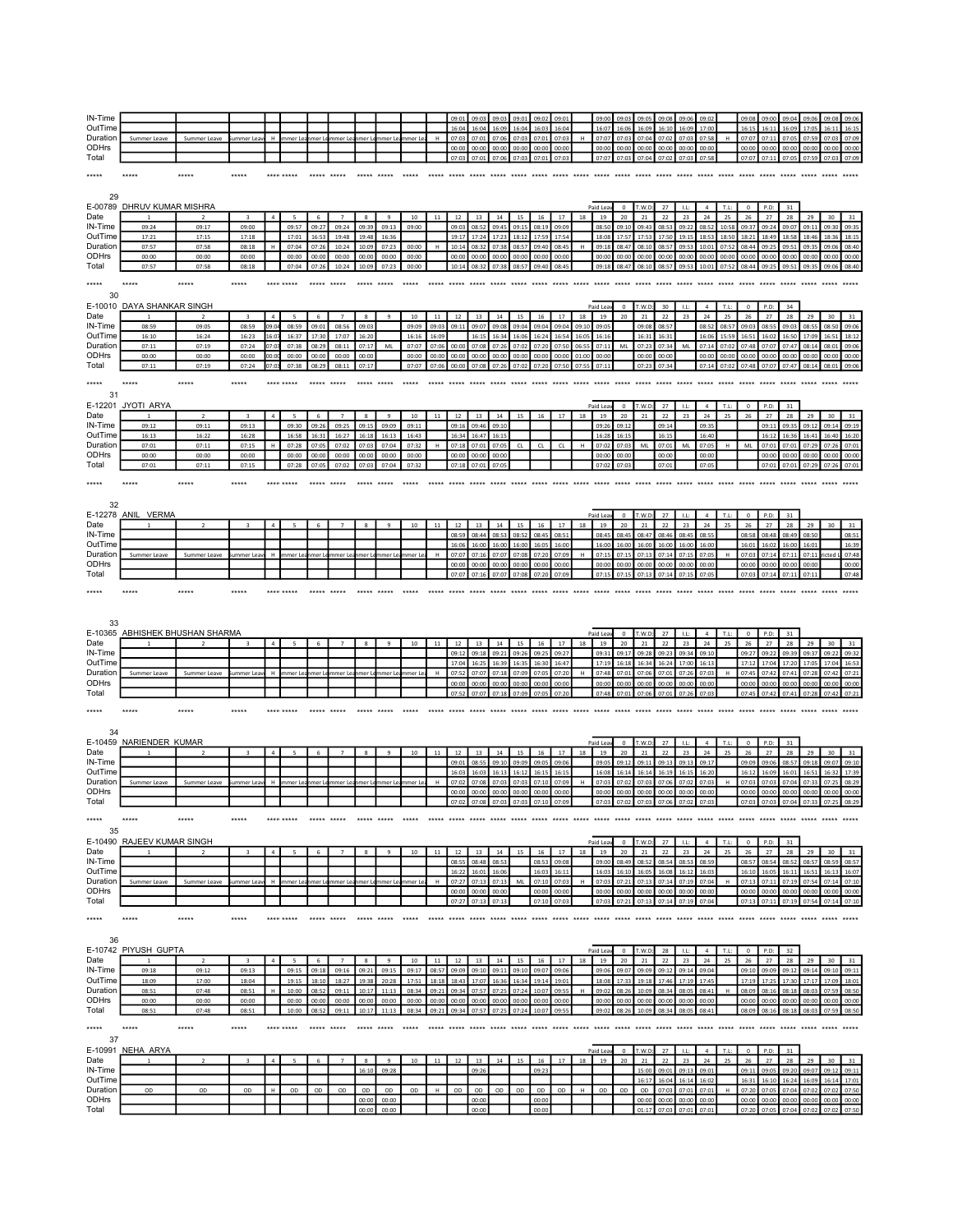| IN-Time<br>OutTime                                                                                   |                                 |                |                         |                |                          |                |                |                        |                |                |        | 09:D<br>16:04     | 09:03<br>16:04 | 09:03<br>16:09 | 09:01<br>16:04 | 09:02<br>16:03    | 09:0<br>16:0   |       | 09:00<br>16:07 | 09:0<br>16:0   | 09:09<br>16:09                      | 09:08<br>16:10 | 09:06<br>16:09 | 09:0<br>17:0         |                | 09:08<br>16:15 | 09:00<br>16:11    | 09:04<br>16:09 | 09:06          | 09:05                  |                |
|------------------------------------------------------------------------------------------------------|---------------------------------|----------------|-------------------------|----------------|--------------------------|----------------|----------------|------------------------|----------------|----------------|--------|-------------------|----------------|----------------|----------------|-------------------|----------------|-------|----------------|----------------|-------------------------------------|----------------|----------------|----------------------|----------------|----------------|-------------------|----------------|----------------|------------------------|----------------|
| Duration                                                                                             | Summer Leave                    | Summer Leave   | summer Lea              | H              | mmer Le                  | mer            | nmer L         | ımer L                 | nmer L         | nmer Le        |        | 07:0              | 07:0           | 07:06          | 07:0           | 07:0              | 07:03          |       | 07:07          | 07:0           | 07:04                               | 07:0           | 07:03          | 07:5                 |                | 07:07          | 07:1              | 07:0           | 07:5           | 07:0                   | 07:09          |
| ODHrs                                                                                                |                                 |                |                         |                |                          |                |                |                        |                |                |        | 00:00             | 00:00          | 00:00          | 00:00          | 00:00             | 00:00          |       | 00:00          | 00:00          | 00:00                               | 00:00          | 00:00          | 00:00                |                | 00:00          | 00:00             | 00:00          | 00:00          | 00:00                  | 00:00          |
| Total                                                                                                |                                 |                |                         |                |                          |                |                |                        |                |                |        | 07:03             | 07:01          | 07:06          | 07:03          | 07:01             | 07:03          |       | 07:07          | 07:03          | 07:04                               | 07:02          | 07:03          | 07:58                |                | 07:07          | 07:11             | 07:05          | 07:59          | 07:03                  | 07:09          |
|                                                                                                      |                                 |                |                         |                |                          |                |                |                        |                |                |        |                   |                |                |                |                   |                |       |                |                |                                     |                |                |                      |                |                |                   |                |                |                        |                |
| *****                                                                                                |                                 | *****          | *****                   |                |                          |                |                |                        |                |                |        |                   |                |                |                |                   |                |       |                |                | ***** ***** ***** ***** ***** ***** |                |                |                      |                |                |                   |                |                |                        |                |
|                                                                                                      |                                 |                |                         |                |                          |                |                |                        |                |                |        |                   |                |                |                |                   |                |       |                |                |                                     |                |                |                      |                |                |                   |                |                |                        |                |
| 29                                                                                                   |                                 |                |                         |                |                          |                |                |                        |                |                |        |                   |                |                |                |                   |                |       |                |                |                                     |                |                |                      |                |                |                   |                |                |                        |                |
| E-00789                                                                                              | <b>DHRUV KUMAR MISHRA</b>       |                |                         |                |                          |                |                |                        |                |                |        |                   |                |                |                |                   |                |       | Paid Lea       | $\mathbf 0$    | T.W.D                               | 27             | LL:            | $\overline{4}$       | T.L:           | $\mathbf 0$    | P.D:              | 31             |                |                        |                |
| Date                                                                                                 |                                 |                |                         |                |                          |                |                |                        |                | 10             | $11\,$ | 12                | $13\,$         | 14             | 15             | 16                | 17             | 18    | 19             | 20             | 21                                  | 22             | 23             | 24                   | 25             | 26             | 27                | 28             | 29             | 30                     |                |
| IN-Time                                                                                              | 09:24                           | 09:17          | 09:00                   |                | 09:57                    | 09:27          | 09:24          | 09:39                  | 09:13          | 09:00          |        | 09:03             | 08:5           | 09:45          | 09:19          | 08:19             | 09:09          |       | 08:50          | 09:10          | 09:43                               | 08:53          | 09:22          | 08:52                | 10:58          | 09:37          | 09:24             | 09:07          | 09:11          | 09:30                  | 09:35          |
| OutTime                                                                                              | 17:21                           | 17:15          | 17:18                   |                | 17:01                    | 16:53          | 19:48          | 19:48                  | 16:36          |                |        | 19:17             | 17:24          | 17:23          | 18:12          | 17:59             | 17:54          |       | 18:08          | 17:57          | 17:53                               | 17:50          | 19:15          | 18:53                | 18:50          | 18:21          | 18:49             | 18:58          | 18:46          | 18:36                  | 18:15          |
| Duration<br>ODHrs                                                                                    | 07:57<br>00:00                  | 07:58<br>00:00 | 08:18<br>00:00          |                | 07:04<br>00:00           | 07:26<br>00:00 | 10:24          | 10:09<br>00:00         | 07:23<br>00:00 | 00:00          | H      | 10:14             | 08:32<br>00:00 | 07:38<br>00:00 | 08:57<br>00:00 | 09:40<br>00:00    | 08:45<br>00:00 | H     | 09:18          | 08:47          | 08:10                               | 08:57          | 09:53<br>00:00 | 10:01<br>00:00       | 07:52<br>00:00 | 08:44<br>00:00 | 09:25             | 09:51<br>00:00 | 09:35<br>00:00 | 09:06<br>00:00         | 08:40<br>00:00 |
| Total                                                                                                | 07:57                           | 07:58          | 08:18                   |                | 07:04                    | 07:26          | 00:00<br>10:24 | 10:09                  | 07:23          | 00:00<br>00:00 |        | 00:00<br>10:14    | 08:32          | 07:38          | 08:57          | 09:40             | 08:45          |       | 00:00<br>09:18 | 00:00<br>08:47 | 00:00<br>08:10                      | 00:00<br>08:57 | 09:53          | 10:01                | 07:52          | 08:44          | 00:00<br>09:25    | 09:51          | 09:35          |                        | 08:40          |
|                                                                                                      |                                 |                |                         |                |                          |                |                |                        |                |                |        |                   |                |                |                |                   |                |       |                |                |                                     |                |                |                      |                |                |                   |                |                |                        |                |
| *****                                                                                                | *****                           | *****          | *****                   |                | **** *****               | *****          | *****          | ***** *****            |                | *****          | *****  | *****             | *****          | *****          | *****          | *****             | ***** *****    |       | *****          | *****          | $*****$                             | *****          | *****          | *****                | esses esses    |                | *****             |                |                | annon annon annon anno |                |
| 30                                                                                                   |                                 |                |                         |                |                          |                |                |                        |                |                |        |                   |                |                |                |                   |                |       |                |                |                                     |                |                |                      |                |                |                   |                |                |                        |                |
|                                                                                                      | E-10010 DAYA SHANKAR SINGH      |                |                         |                |                          |                |                |                        |                |                |        |                   |                |                |                |                   |                |       | Paid Leav      | $^{\circ}$     | T.W.D:                              | 30             | LL             | $\mathfrak{a}$       | T.L:           | $^{\circ}$     | P.D:              | 34             |                |                        |                |
| Date                                                                                                 |                                 | $\overline{2}$ | 3                       | $\overline{4}$ | 5                        | 6              | $\overline{7}$ | 8                      | 9              | 10             | 11     | 12                | 13             | 14             | 15             | 16                | 17             | 18    | 19             | 20             | 21                                  | 22             | 23             | 24                   | 25             | 26             | 27                | 28             | 29             | 30                     |                |
| IN-Time                                                                                              | 08:59                           | 09:05          | 08:59                   | 09:04          | 08:59                    | 09:01          | 08:56          | 09:03                  |                | 09:09          | 09:03  | 09:11             | 09:07          | 09:08          | 09:04          | 09:04             | 09:04          | 09:10 | 09:05          |                | 09:08                               | 08:57          |                | 08:52                | 08:57          | 09:03          | 08:55             | 09:03          | 08:55          | 08:50                  | 09:06          |
| OutTime                                                                                              | 16:10                           | 16:24          | 16:23                   |                | 16:37                    | 17:30          | 17:07          | 16:20                  |                | 16:16          | 16:09  |                   | 16:1           | 16:34          | 16:06          | 16:24             | 16:54          | 16:05 | 16:16          |                | 16:31                               | 16:31          |                | 16:06                | 15:59          | 16:51          | 16:02             | 16:50          | 17:09          | 16:51                  |                |
| Duration                                                                                             | 07:11                           | 07:19          | 07:24                   |                | 07:38                    | 08:29          | 08:11          | 07:17                  | ML             | 07:07          | 07:06  | 00:00             | 07:08          | 07:26          | 07:02          | 07:2              | 07:50          | 06:5! | 07:11          | ML             | 07:23                               | 07:34          | ML             | 07:14                | 07:02          | 07:48          | 07:07             | 07:47          | 08:14          | 08:01                  | 09:06          |
| ODHrs                                                                                                | 00:00                           | 00:00          | 00:00                   | DO:            | 00:00                    | 00:00          | 00:00          | 00:0                   |                | 00:00          | 00:0   | 00:0              | 00:0           | 00:00          | 00:0           | 00:0              | 00:0           | 01:0  | 00:0           |                | 00:00                               | 00:00          |                | 00:0                 | 00:00          | 00:00          | 00:00             | 00:00          | 00:00          | 00:00                  | 00:00          |
| Total                                                                                                | 07:11                           | 07:19          | 07:24                   |                | 07:38                    | 08:29          | 08:11          | 07:17                  |                | 07:07          |        | 00:00             | 07:08          | 07:26          | 07:02          | 07:20             | 07:50          | 07:59 | 07:11          |                | 07:23                               | 07:34          |                | 07:14                | 07:02          | 07:48          | 07:07             | 07:47          |                |                        |                |
|                                                                                                      |                                 |                |                         |                |                          |                |                |                        |                |                |        |                   |                |                |                |                   |                |       |                |                |                                     |                |                |                      |                |                |                   |                |                |                        |                |
| *****                                                                                                | *****                           | *****          | *****                   |                |                          | *****          | *****          | *****                  |                | *****          |        |                   |                |                |                |                   |                |       |                |                | *****                               | *****          | *****          | *****                | *****          | *****          | ***** ***** ***** |                |                |                        |                |
| 31                                                                                                   |                                 |                |                         |                |                          |                |                |                        |                |                |        |                   |                |                |                |                   |                |       |                |                |                                     |                |                |                      |                |                |                   |                |                |                        |                |
| E-12201                                                                                              | <b>JYOTI ARYA</b>               |                |                         |                |                          |                |                |                        |                |                |        |                   |                |                |                |                   |                |       | Paid Lea       | $^{\circ}$     | T.W.D                               | 27             |                |                      | T.L            | $^{\circ}$     | P.D               | 31             |                |                        |                |
| Date                                                                                                 |                                 | $\overline{z}$ |                         |                |                          |                |                | $\mathbf{\mathcal{R}}$ |                | $10\,$         | 11     | 12                | 13             | 14             | 15             | 16                | 17             | 18    | 19             | 20             | 21                                  | $22$           | 23             | 24                   | 25             | 26             | 27                | 28             | 29             | 30                     |                |
| IN-Time                                                                                              | 09:12                           | 09:11          | 09:13                   |                | 09:30                    | 09:26          | 09:25          | 09:15                  | 09:09          | 09:11          |        | 09:1              | 09:4           | 09:1           |                |                   |                |       | 09:2           | 09:1           |                                     | 09:14          |                | 09:3!                |                |                | 09:11             | 09:39          | 09:12          | 09:14                  |                |
| OutTime                                                                                              | 16:13                           | 16:22          | 16:28                   |                | 16:58                    | 16:31          | 16:27          | 16:18                  | 16:13          | 16:43          |        | 16:34             | 16:4           | 16:1           | CL             | CL                | CL             | H     | 16:28          | 16:1!          |                                     | 16:1!          |                | 16:40                |                |                | 16:12             | 16:31          | 16:41<br>07:29 | 16:40<br>07:26         | 16:20<br>07:01 |
| Duration<br>ODHrs                                                                                    | 07:01<br>00:00                  | 07:11<br>00:00 | 07:15<br>00:00          |                | 07:28<br>00:00           | 07:05<br>00:00 | 07:02<br>00:00 | 07:03<br>00:00         | 07:04<br>00:00 | 07:32<br>00:00 |        | 07:18<br>00:00    | 07:01<br>00:00 | 07:05<br>00:00 |                |                   |                |       | 07:02<br>00:00 | 07:03<br>00:00 | ML                                  | 07:01<br>00:00 | ML             | 07:05<br>00:00       |                | ML             | 07:01<br>00:00    | 07:01<br>00:00 | 00:00          | 00:00                  | 00:00          |
| Total                                                                                                | 07:01                           | 07:11          | 07:15                   |                | 07:28                    | 07:05          | 07:02          | 07:03                  | 07:04          | 07:32          |        | 07:18             | 07:01          | 07:0           |                |                   |                |       | 07:02          | 07:03          |                                     | 07:01          |                | 07:05                |                |                | 07:01             | 07:01          | 07:29          | 07:26                  | 07:01          |
|                                                                                                      |                                 |                |                         |                |                          |                |                |                        |                |                |        |                   |                |                |                |                   |                |       |                |                |                                     |                |                |                      |                |                |                   |                |                |                        |                |
| *****                                                                                                | *****                           | *****          | *****                   |                |                          |                |                |                        |                |                |        |                   |                |                |                |                   |                |       |                |                |                                     |                |                |                      |                |                |                   |                |                |                        |                |
|                                                                                                      |                                 |                |                         |                |                          |                |                |                        |                |                |        |                   |                |                |                |                   |                |       |                |                |                                     |                |                |                      |                |                |                   |                |                |                        |                |
| 32                                                                                                   |                                 |                |                         |                |                          |                |                |                        |                |                |        |                   |                |                |                |                   |                |       |                |                |                                     |                |                |                      |                |                |                   |                |                |                        |                |
| E-12278                                                                                              | ANIL VERMA                      |                |                         |                |                          |                |                |                        |                |                |        |                   |                |                |                |                   |                |       | Paid Lea       | $\mathbf 0$    | T.W.D:                              | 27             | LL             | $\overline{4}$       | T.L:           | $\circ$        | P.D:              | 31             |                |                        |                |
| Date                                                                                                 |                                 |                | $\overline{\mathbf{3}}$ | $\overline{a}$ | $\overline{5}$           | $\mathbf{f}$   | $\overline{7}$ | 8                      | $\overline{9}$ | $10\,$         | $11\,$ | 12                | 13             | 14             | 15             | 16                | 17             | 18    | 19             | 20             | 21                                  | 22             | 23             | 24                   | 25             | 26             | 27                | 28             | 29             | 30                     | 31             |
| IN-Time                                                                                              |                                 |                |                         |                |                          |                |                |                        |                |                |        | 08:5              | 08:4           | 08:5           | 08:52          | 08:45             | 08:51          |       | 08:45          | 08:45          | 08:47                               | 08:46          | 08:45          | 08:59                |                | 08:58          | 08:48             | 08:49          | 08:50          |                        | 08:51          |
| OutTime                                                                                              |                                 |                |                         |                |                          |                |                |                        |                |                |        | 16:06             | 16:00          | 16:00          | 16:00          | 16:05             | 16:00          |       | 16:00          | 16:00          | 16:00                               | 16:00          | 16:00          | 16:00                |                | 16:01          | 16:02             | 16:00          | 16:01          |                        | 16:39          |
| Duration                                                                                             | Summer Leave                    | Summer Leave   | Summer Lea              | H              | mmer Lea                 | mer L          | mmer Le        |                        | mer Lemmer Le  | nmer Lea       | $\,$ H | 07:07             | 07:16          | 07:07          | 07:08          | 07:20             | 07:09          | H     | 07:15          | 07:15          | 07:13                               | 07:14          | 07:15          | 07:05                | H              | 07:03          | 07:14             | 07:11          | 07:11          | ricted I               | 07:48          |
| ODHrs                                                                                                |                                 |                |                         |                |                          |                |                |                        |                |                |        | 00:00             | 00:00          | 00:00          | 00:00          | 00:00             | 00:00          |       | 00:00          | 00:00          | 00:00                               | 00:00          | 00:00          | 00:00                |                | 00:00          | 00:00             | 00:00          | 00:00          |                        | 00:00          |
| Total                                                                                                |                                 |                |                         |                |                          |                |                |                        |                |                |        | 07:07             | 07:16          | 07:07          | 07:08          | 07:20             | 07:09          |       | 07:15          | 07:1!          | 07:13                               | 07:14          | 07:15          | 07:05                |                | 07:03          | 07:14             | 07:11          | 07:11          |                        | 07:48          |
| *****                                                                                                | *****                           | *****          | *****                   |                |                          |                | *****          |                        |                | *****          |        | ***** ***** ***** |                | $*****$        | *****          | *****             |                |       |                |                |                                     |                |                |                      |                |                |                   |                |                |                        |                |
|                                                                                                      |                                 |                |                         |                |                          |                |                |                        |                |                |        |                   |                |                |                |                   |                |       |                |                |                                     |                |                |                      |                |                |                   |                |                |                        |                |
|                                                                                                      |                                 |                |                         |                |                          |                |                |                        |                |                |        |                   |                |                |                |                   |                |       |                |                |                                     |                |                |                      |                |                |                   |                |                |                        |                |
| 33                                                                                                   |                                 |                |                         |                |                          |                |                |                        |                |                |        |                   |                |                |                |                   |                |       |                |                |                                     |                |                |                      |                |                |                   |                |                |                        |                |
|                                                                                                      | E-10365 ABHISHEK BHUSHAN SHARMA |                |                         |                |                          |                |                |                        |                |                |        |                   |                |                |                |                   |                |       | Paid Lea       | $\circ$        | T.W.D                               | 27             | 1.1            | $\mathfrak{a}$       | T.L            | $^{\circ}$     | P.D               | 31             |                |                        |                |
| Date                                                                                                 |                                 |                |                         | $\overline{a}$ |                          |                |                |                        |                | $10$           | $11\,$ | $12\,$            | 13             | 14             | 15             | 16                | 17             | 18    | 19             | 20             | 21                                  | 22             | 23             | 24                   | 25             | 26             | 27                | 28             | 29             | 30                     |                |
| IN-Time                                                                                              |                                 |                |                         |                |                          |                |                |                        |                |                |        | 09:1              | 09:1           | 09:2           | 09:26          | 09:2              | 09:2           |       | 09:3           | 09:17          | 09:28                               | 09:23          | 09:34          | 09:10                |                | 09:27          | 09:22             | 09:39          | 09:37          | 09:2                   |                |
| OutTime                                                                                              |                                 |                |                         |                |                          |                |                |                        |                |                |        | 17:04             | 16:25          | 16:39          | 16:35          | 16:30             | 16:47          |       | 17:19          | 16:11          | 16:34                               | 16:24          | 17:00          | 16:13                |                | 17:12          | 17:04             | 17:20          | 17:05          | 17:04                  | 16:53          |
| Duration                                                                                             |                                 |                | nmer Lı                 |                |                          |                |                |                        |                |                |        | 07:5              | 07:0           | 07:11          | 07:0           | 07:0              | 07:21          | H     | 07:48          | 07:0           | 07:0                                | 07:0           | 07:26          | 07:0                 | H              | 07:45          | 07:42             | 07:41          | 07:28          | 07:42                  | 07:2           |
| ODHrs                                                                                                |                                 |                |                         |                |                          |                |                |                        |                |                |        | 00:00             | 00:00          | 00:00          | 00:00          | 00:00             | 00:00          |       | 00:00          | 00:00          | 00:00                               | 00:00          | 00:00          | 00:00                |                | 00:00          | 00:00             | 00:00          | 00:00          | 00:00                  | 00:00          |
| Total                                                                                                |                                 |                |                         |                |                          |                |                |                        |                |                |        |                   |                |                | 07:0           | 07:0              |                |       |                |                |                                     |                |                |                      |                |                |                   |                |                |                        |                |
|                                                                                                      | *****                           | *****          | *****                   |                |                          |                |                |                        |                |                |        | *****             |                |                |                |                   |                |       |                |                |                                     |                |                |                      |                | *****          | *****             |                |                |                        |                |
| *****                                                                                                |                                 |                |                         |                |                          |                |                |                        |                |                |        |                   |                |                |                |                   |                |       |                |                |                                     |                |                |                      |                |                |                   |                |                |                        |                |
|                                                                                                      |                                 |                |                         |                |                          |                |                |                        |                |                |        |                   |                |                |                |                   |                |       |                |                |                                     |                |                |                      |                |                |                   |                |                |                        |                |
| 34                                                                                                   | NARIENDER KUMAR                 |                |                         |                |                          |                |                |                        |                |                |        |                   |                |                |                |                   |                |       |                |                |                                     |                |                |                      |                |                |                   |                |                |                        |                |
| E-10459                                                                                              |                                 |                |                         |                |                          |                |                | $\mathbf{\mathsf{R}}$  |                | 10             | 11     | 12                | 13             | 14             | 15             | 16                | 17             | 18    | Paid Lea       | $\circ$        | T.W.D:                              | 27             | LE:<br>23      | $\overline{a}$<br>24 | T.L:<br>25     | $\circ$<br>26  | P.D:<br>27        | 31<br>28       | 29             | 30                     |                |
| Date                                                                                                 |                                 |                |                         |                |                          |                |                |                        |                |                |        |                   |                |                |                |                   |                |       | 19             | 20             | $21\,$                              | 22             |                |                      |                |                |                   |                |                |                        |                |
| IN-Time<br>OutTime                                                                                   |                                 |                |                         |                |                          |                |                |                        |                |                |        | 09:01<br>16:03    | 08:59<br>16:03 | 09:10<br>16:13 | 09:09<br>16:12 | 09:0<br>16:15     | 09:06<br>16:15 |       | 09:05<br>16:08 | 09:12<br>16:14 | 09:11<br>16:14                      | 09:13<br>16:19 | 09:13<br>16:15 | 09:17<br>16:20       |                | 09:09<br>16:12 | 09:06<br>16:09    | 08:57<br>16:01 | 09:18<br>16:51 | 09:07<br>16:32         | 09:10<br>17:39 |
| Duration                                                                                             | Summer Leave                    | Summer Leave   | summer Lea              | H              | mmer Lea                 | mer L          | nmer Le        |                        | nmer Lemmer Le | nmer Lea       | H      | 07:02             | 07:08          | 07:03          | 07:03          | 07:10             | 07:09          | H     | 07:03          | 07:02          | 07:03                               | 07:06          | 07:02          | 07:03                | H              | 07:03          | 07:03             | 07:04          | 07:33          | 07:25                  | 08:29          |
| ODHrs                                                                                                |                                 |                |                         |                |                          |                |                |                        |                |                |        | 00:00             | 00:00          | 00:00          | 00:00          | 00:00             | 00:00          |       | 00:00          | 00:00          | 00:00                               | 00:00          | 00:00          | 00:00                |                | 00:00          | 00:00             | 00:00          | 00:00          | 00:00                  | 00:00          |
| Total                                                                                                |                                 |                |                         |                |                          |                |                |                        |                |                |        | 07:02             | 07:08          | 07:03          | 07:03          | 07:10             | 07:09          |       | 07:03          |                | 07:02 07:03 07:06                   |                | 07:02          | 07:03                |                | 07:03          | 07:03             | 07:04          | 07:33          | 07:25                  | 08:29          |
|                                                                                                      |                                 |                |                         |                |                          |                |                |                        |                |                |        |                   |                |                |                |                   |                |       |                |                |                                     |                |                |                      |                |                |                   |                |                |                        |                |
| *****                                                                                                | *****                           | *****          | *****                   |                | **** *****               |                |                |                        |                |                |        |                   |                |                |                |                   |                |       |                |                |                                     |                |                |                      |                |                |                   |                |                |                        |                |
| 35                                                                                                   |                                 |                |                         |                |                          |                |                |                        |                |                |        |                   |                |                |                |                   |                |       |                |                |                                     |                |                |                      |                |                |                   |                |                |                        |                |
|                                                                                                      | E-10490 RAJEEV KUMAR SINGH      |                |                         |                |                          |                |                |                        |                |                |        |                   |                |                |                |                   |                |       | Paid Lea       | $\circ$        | T.W.D:                              | 27             | LL:            | $\overline{4}$       | T.L:           | $\circ$        | P.D:              | 31             |                |                        |                |
| Date                                                                                                 |                                 |                |                         |                |                          |                |                |                        | $\overline{9}$ | $10\,$         | $11\,$ | $12\,$            | $13\,$         | 14             | 15             | 16                | 17             | 18    | 19             | 20             | 21                                  | 22             | 23             | 24                   | 25             | 26             | 27                | 28             | 29             | 30                     | 31             |
|                                                                                                      |                                 |                |                         |                |                          |                |                |                        |                |                |        | 08:55             | 08:48          | 08:53          |                |                   | 09:08          |       | 09:00          | 08:49          | 08:52                               | 08:54          | 08:53          | 08:59                |                | 08:57          | 08:54             | 08:52          | 08:57          | 08:59                  | 08:57          |
| IN-Time                                                                                              |                                 |                |                         |                |                          |                |                |                        |                |                |        |                   |                |                |                | 08:53             |                |       |                |                |                                     |                |                |                      |                |                |                   | 16:11          | 16:51          | 16:13                  | 16:07          |
| OutTime                                                                                              |                                 |                |                         |                |                          |                |                |                        |                |                |        | 16:22             | 16:01          | 16:06          |                | 16:03             | 16:11          |       | 16:03          | 16:10          | 16:09                               | 16:08          | 16:12          | 16:03                |                | 16:10          | 16:05             |                |                |                        |                |
| Duration                                                                                             | Summer Leave                    | Summer Leave   | summer Lea              |                | H mmer Lea               |                | mmer Le        | mer L                  |                | nmer Le        | H      | 07:27             | 07:13          | 07:13          | ML             | 07:10             | 07:03          | H     | 07:03          | 07:21          | 07:13                               | 07:14          | 07:19          | 07:04                | H              | 07:13          | 07:11             | 07:19          | 07:54          | 07:14<br>07:10         |                |
|                                                                                                      |                                 |                |                         |                |                          |                |                |                        |                |                |        | 00:00             | 00:0           | 00:00          |                | 00:00             | 00:0           |       | 00:00          | 00:00          | 00:00                               | 00:00          | 00:00          | 00:00                |                | 00:00          | 00:00             | 00:00          | 00:00          | 00:00                  | 00:00          |
|                                                                                                      |                                 |                |                         |                |                          |                |                |                        |                |                |        | 07:27             | 07:13          | 07:13          |                | 07:10             | 07:03          |       | 07:03          | 07:21          | 07:13                               | 07:14          | 07:19          | 07:04                |                | 07:13          | 07:11             | 07:19          | 07:54          | 07:14                  | 07:10          |
|                                                                                                      | *****                           | *****          | *****                   |                | <b>SALE STATE</b>        | ***** *****    |                |                        |                |                |        |                   |                |                |                |                   |                |       |                |                |                                     |                |                |                      |                |                |                   |                |                |                        |                |
|                                                                                                      |                                 |                |                         |                |                          |                |                |                        |                |                |        |                   |                |                |                |                   |                |       |                |                |                                     |                |                |                      |                |                |                   |                |                |                        |                |
| 36                                                                                                   |                                 |                |                         |                |                          |                |                |                        |                |                |        |                   |                |                |                |                   |                |       |                |                |                                     |                |                |                      |                |                |                   |                |                |                        |                |
|                                                                                                      | E-10742 PIYUSH GUPTA            |                |                         |                |                          |                |                |                        |                |                |        |                   |                |                |                |                   |                |       | Paid Leav      |                | $0$ T.W.D:                          | 28             | LL             | $\mathbf{a}$         | T.L:           | $\mathbf 0$    | P.D:              | 32             |                |                        |                |
|                                                                                                      | $\overline{1}$                  | $\overline{2}$ | 3                       | $\overline{a}$ | $\overline{\phantom{a}}$ |                | 7              | 8                      | 9              | 10             | 11     | 12                | 13             | 14             | 15             | 16                | 17             | 18    | 19             | 20             | 21                                  | 22             | 23             | 24                   | 25             | 26             | 27                | 28             | 29             | 30                     |                |
|                                                                                                      | 09:18                           | 09:12          | 09:13                   |                | 09:15                    | 09:18          | 09:16          | 09:21                  | 09:15          | 09:17          | 08:57  | 09:09             | 09:10          | 09:11          |                | 09:10 09:07 09:06 |                |       | 09:06          | 09:07          | 09:09                               | 09:12          | 09:14          | 09:04                |                | 09:10          | 09:09             | 09:12          | 09:14          | 09:10                  | 09:11          |
|                                                                                                      | 18:09                           | 17:00          | 18:04                   |                | 19:15                    | 18:10          | 18:27          | 19:38                  | 20:28          | 17:51          | 18:18  | 18:43             | 17:07          | 16:36          | 16:34          | 19:14             | 19:01          |       | 18:08          | 17:33          | 19:18                               | 17:46          | 17:19          | 17:45                |                | 17:19          | 17:25             | 17:30          | 17:17          | 17:09                  | 18:01          |
|                                                                                                      | 08:51                           | 07:48          | 08:51                   |                | 10:00                    | 08:52          | 09:11          | 10:17                  | 11:13          | 08:34          | 09:21  | 09:34             | 07:5           | 07:2!          | 07:24          | 10:07             | 09:59          | H     | 09:02          | 08:26          | 10:09                               | 08:34          | 08:05          | 08:41                | н              | 08:09          | 08:16             | 08:18          | 08:03          | 07:59                  | 08:50          |
|                                                                                                      | 00:00                           | 00:00          | 00:00                   |                | 00:00                    | 00:00          | 00:00          | 00:00                  | 00:00          | 00:00          | 00:00  | 00:00             | 00:00          | 00:00          | 00:00          | 00:00             | 00:0           |       | 00:00          | 00:0           | 00:00                               | 00:00          | 00:00          | 00:00                |                | 00:00          | 00:00             | 00:00          | 00:00          | 00:00                  | 00:00          |
|                                                                                                      | 08:51                           | 07:48          | 08:51                   |                | 10:00                    | 08:52          | 09:11          | 10:17                  | 11:13          | 08:34          | 09:21  | 09:34             | 07:57          | 07:25          |                | 07:24 10:07       | 09:55          |       | 09:02          | 08:26 10:09    |                                     | 08:34          | 08:05          | 08:41                |                | 08:09 08:16    |                   | 08:18          | 08:03          | 07:59                  | 08:50          |
|                                                                                                      | *****                           | *****          | *****                   |                | **** *****               | ***** *****    |                | ***** *****            |                | *****          |        |                   |                |                |                |                   |                |       |                |                |                                     |                |                |                      |                |                |                   |                |                |                        |                |
|                                                                                                      |                                 |                |                         |                |                          |                |                |                        |                |                |        |                   |                |                |                |                   |                |       |                |                |                                     |                |                |                      |                |                |                   |                |                |                        |                |
| 37                                                                                                   |                                 |                |                         |                |                          |                |                |                        |                |                |        |                   |                |                |                |                   |                |       |                |                |                                     |                |                |                      |                |                |                   |                |                |                        |                |
|                                                                                                      | E-10991 NEHA ARYA               |                |                         |                |                          |                |                |                        |                |                |        |                   |                |                |                |                   |                |       | Paid Lea       | $\circ$        | T.W.D:                              | 27             | LL:            |                      | T.L:           | $\circ$        | P.D:              | 31             |                |                        |                |
| ODHrs<br>Total<br>*****<br>Date<br>IN-Time<br>OutTime<br>Duration<br>ODHrs<br>Total<br>*****<br>Date |                                 | $\overline{z}$ |                         | 4              | 5                        | $\mathbf{6}$   |                | 8                      | $\mathbf{q}$   | 10             | $11\,$ | $12\,$            | 13             | 14             | 15             | 16                | 17             | 18    | 19             | 20             | 21                                  | 22             | 23             | 24                   | 25             | 26             | 27                | 28             | 29             | 30                     | 31             |
| IN-Time                                                                                              |                                 |                |                         |                |                          |                |                | 16:10                  | 09:28          |                |        |                   | 09:21          |                |                | 09:2              |                |       |                |                | 15:00                               | 09:01          | 09:13          | 09:01                |                | 09:11          | 09:05             | 09:20          | 09:07          | 09:12                  | 09:11          |
| OutTime                                                                                              | OD                              |                |                         |                |                          |                |                |                        |                |                | H      | OD                |                |                |                |                   |                |       |                |                | 16:17                               | 16:04          | 16:14          | 16:02                |                | 16:31          | 16:10             | 16:24<br>07:04 | 16:09<br>07:02 | 16:14<br>07:02         | 17:01<br>07:50 |
| Duration<br>ODHrs                                                                                    |                                 | OD             | OD                      |                | $_{\sf OD}$              | OD             | OD             | OD<br>00:00            | OD<br>00:00    | $_{\sf OD}$    |        |                   | OD<br>00:00    | OD             | OD             | OD<br>00:00       | OD             | H     | $_{\sf OD}$    | OD             | OD<br>00:00                         | 07:03<br>00:00 | 07:01<br>00:00 | 07:01<br>00:00       |                | 07:20<br>00:00 | 07:05<br>00:00    | 00:00          | 00:00          | 00:00                  | 00:00          |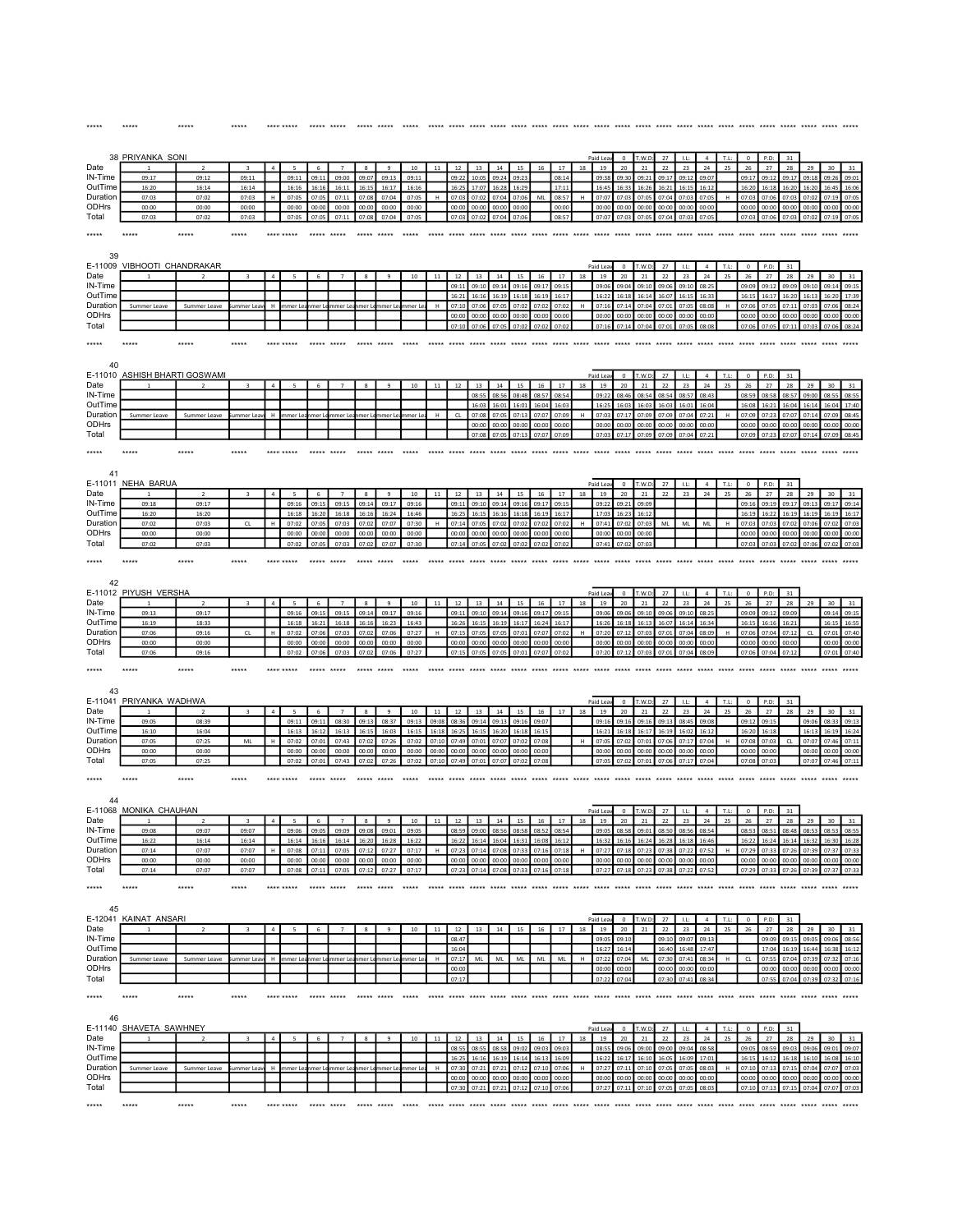|                     | 38 PRIYANKA SONI              |                         |                         |                |                |                |                         |                                |                      |                |                |                |                |                |                                  |                |                |    | Paid Lea                            |                            | T.W.F          | 27                         |                |                      |            |                |                    | 31             |                                        |                |                |
|---------------------|-------------------------------|-------------------------|-------------------------|----------------|----------------|----------------|-------------------------|--------------------------------|----------------------|----------------|----------------|----------------|----------------|----------------|----------------------------------|----------------|----------------|----|-------------------------------------|----------------------------|----------------|----------------------------|----------------|----------------------|------------|----------------|--------------------|----------------|----------------------------------------|----------------|----------------|
| Date<br>IN-Time     | 09:17                         | $\overline{2}$<br>09:12 | 3<br>09:11              |                | 5<br>09:11     | 6<br>09:1      | $\overline{7}$<br>09:00 | $\mathbf{\mathsf{R}}$<br>09:07 | q<br>09:13           | $10$<br>09:11  | 11             | 12<br>09:2     | 13<br>10:0     | 14<br>09:2     | 15<br>09:2                       | 16             | 17<br>08:14    | 18 | 19<br>09:3                          | 20<br>09:3                 | 21<br>09:2     | 22<br>09:1                 | 23<br>09:1     | 24<br>09:0           | 25         | 26<br>09:1     | 27                 | 28<br>09:1     | 29                                     | 30             | 31<br>09:0     |
| OutTime             | 16:20                         | 16:14                   | 16:14                   |                | 16:16          | 16:16          | 16:11                   | 16:15                          | 16:17                | 16:16          |                | 16:25          | 17:0           | 16:28          | 16:29                            |                | 17:11          |    | 16:49                               | 16:3                       | 16:26          | 16:21                      | 16:15          | 16:1                 |            | 16:20          | 16:18              | 16:20          | 16:20                                  | 16:45          | 16:06          |
| Duration            | 07:03                         | 07:02                   | 07:03                   |                | 07:05          | 07:09          | 07:11                   | 07:08                          | 07:04                | 07:05          | H              | 07:0           | 07:0           | 07:04          | 07:06                            | ML             | 08:57          | H  | 07:0                                | 07:0                       | 07:0           | 07:0                       | 07:0           | 07:0                 | H          | 07:0           | 07:06              | 07:03          | 07:02                                  | 07:19          | 07:05          |
| ODHrs               | 00:00                         | 00:00                   | 00:00                   |                | 00:00          | 00:00          | 00:00                   | 00:00                          | 00:00                | 00:00          |                | 00:00          | 00:00          |                | 00:00                            |                | 00:00          |    | 00:00                               | 00:00                      | 00:00          | 00:00                      | 00:00          | 00:00                |            | 00:00          | 00:00              | 00:00          | 00:00                                  | 00:00          | 00:00          |
| Total               | 07:03                         | 07:02                   | 07:03                   |                | 07:05          | 07:09          | 07:11                   | 07:08                          | 07:04                | 07:05          |                | 07:03          |                | 07:04          | 07:0                             |                | 08:57          |    | 07:07                               | 07:03                      | 07:09          | 07:04                      | 07:03          | 07:0                 |            | 07:03          | 07:06              | 07:03          | 07:02                                  | 07:19          | 07:05          |
| *****               | *****                         | *****                   | *****                   |                | **** *****     | *****          | *****                   |                                |                      | *****          |                |                |                |                |                                  |                |                |    |                                     |                            |                |                            |                |                      |            |                |                    |                |                                        |                |                |
| 39                  |                               |                         |                         |                |                |                |                         |                                |                      |                |                |                |                |                |                                  |                |                |    |                                     |                            |                |                            |                |                      |            |                |                    |                |                                        |                |                |
| E-11009             | VIBHOOTI CHANDRAKAR           |                         |                         |                |                |                |                         |                                |                      |                |                |                |                |                |                                  |                |                |    | Paid Lea                            | $\circ$                    | T.W.D          | 27                         | LL             | $\overline{4}$       | T.L        | $^{\circ}$     | P.D:               | 31             |                                        |                |                |
| Date                |                               |                         | в                       | $\Delta$       | 5              | 6              | $\overline{7}$          | 8                              | $\mathbf{q}$         | 10             | 11             | 12             | 13             | 14             | 15                               | 16             | 17             | 18 | 19                                  | 20                         | 21             | 22                         | 23             | 24                   | 25         | 26             | 27                 | 28             | 29                                     | 30             | 31             |
| IN-Time             |                               |                         |                         |                |                |                |                         |                                |                      |                |                | 09:1           | 09:10          | 09:14          | 09:16                            | 09:17          | 09:1           |    | 09:0                                | 09:0                       | 09:1           | 09:0                       | 09:10          | 08:2                 |            | 09:09          | 09:1               | 09:09          | 09:10                                  | 09:14          | 09:19          |
| OutTime             |                               |                         |                         |                |                |                |                         |                                |                      |                |                | 16:21          |                |                |                                  | 16:19          | 16:17          |    | 16:2                                |                            | 16:1           | 16:07                      | 16:15          | 16:33                |            | 16:19          | 16:17              | 16:20          | 16:13                                  | 16:20          | 17:39          |
| Duration<br>ODHrs   | Summer Leave                  | Summer Leave            | ummer Lea               | H              | immer Le       | mer L          | mmer Le                 | mer Le                         | mer Le               | nmer Le        |                | 07:10<br>00:00 | 07:0<br>00:00  | 00:00          | 07:0<br>00:00                    | 07:0<br>00:00  | 07:02<br>00:00 |    | 07:16<br>00:00                      | 07:1<br>00:00              | 07:0<br>00:00  | 07:01<br>00:00             | 07:09<br>00:00 | 08:08<br>00:00       |            | 07:06<br>00:00 | 07:05<br>00:00     | 07:11<br>00:00 | 07:03<br>00:00                         | 07:06<br>00:00 | 08:24<br>00:00 |
| Total               |                               |                         |                         |                |                |                |                         |                                |                      |                |                | 07:10          | 07:06          | 07:05          | 07:02                            | 07:02          | 07:02          |    | 07:16                               | 07:14 07:04                |                | 07:01                      | 07:05          | 08:08                |            | 07:06          | 07:05              | 07:11          | 07:03                                  | 07:06          | 08:24          |
| *****               |                               | *****                   | *****                   |                |                |                |                         |                                |                      |                |                |                |                |                |                                  |                |                |    |                                     | ***** ***** ***** *****    |                |                            |                | ***** *****          |            | $****$         |                    |                |                                        |                |                |
| 40                  |                               |                         |                         |                |                |                |                         |                                |                      |                |                |                |                |                |                                  |                |                |    |                                     |                            |                |                            |                |                      |            |                |                    |                |                                        |                |                |
|                     | E-11010 ASHISH BHARTI GOSWAMI |                         |                         |                |                |                |                         |                                |                      |                |                |                |                |                |                                  |                |                |    | Paid Lea                            | $\,$ 0                     | T.W.D          | 27                         | 1.1:           | $\overline{4}$       | T.L:       | $\circ$        | P.D:               | 31             |                                        |                |                |
| Date                |                               |                         |                         |                |                |                |                         |                                |                      | 10             | 11             |                | 13             | 14             | 15                               | 16             | 17             | 18 | 19                                  | 20                         | 21             | 22                         | 23             | $\bf{24}$            | 25         | $26\,$         | 27                 | $\bf 28$       | 29                                     | 30             | 31             |
| IN-Time             |                               |                         |                         |                |                |                |                         |                                |                      |                |                |                | 08:55          | 08:56          | 08:48                            | 08:57          | 08:54          |    | 09:22                               | 08:46                      | 08:54          | 08:54                      | 08:57          | 08:43                |            | 08:59          | 08:58              | 08:57          | 09:00                                  | 08:55          | 08:55          |
| OutTime             |                               |                         |                         |                |                |                |                         |                                |                      |                |                |                | 16:03          | 16:01          | 16:01                            | 16:04          | 16:03          |    | 16:2                                | 16:03                      | 16:03          | 16:03                      | 16:01          | 16:04                |            | 16:08          | 16:21              | 16:04          | 16:14                                  | 16:04          | 17:40          |
| Duration<br>ODHrs   | Summer Leave                  | Summer Leave            | nmer Lea                |                |                |                |                         |                                |                      |                |                | CL             | 07:08<br>00:0  | 07:0           | 07:1<br>00:0                     | 07:0<br>00:0   | 07:09<br>00:0  | H  | 07:03<br>00:0                       | 07:17<br>00:0              | 07:09<br>00:0  | 07:09<br>00:0              | 07:04<br>00:0  | 07:21<br>00:0        | H          | 07:09<br>00:00 | 07:23<br>00:00     | 07:07<br>00:00 | 07:14<br>00:0                          | 07:09<br>00:0  | 08:45<br>00:00 |
| Total               |                               |                         |                         |                |                |                |                         |                                |                      |                |                |                | 07:05          | 07:05          | 07:17                            | 07:07          | 07:09          |    | 07:03                               | 07:17                      | 07:09          | 07:09                      | 07:04          | 07:21                |            | 07:09          | 07:23              | 07:07          | 07:14                                  | 07:09          | 08:45          |
|                     |                               |                         |                         |                |                |                |                         |                                |                      |                |                |                |                |                |                                  |                |                |    |                                     |                            |                |                            |                |                      |            |                |                    |                |                                        |                |                |
| *****               | $*****$                       | *****                   | *****                   |                |                | seems annum    |                         |                                |                      |                |                |                |                |                |                                  |                |                |    | ***** ***** ***** ***** ***** ***** |                            |                |                            |                |                      |            | $*****$        |                    |                |                                        |                |                |
| 41                  |                               |                         |                         |                |                |                |                         |                                |                      |                |                |                |                |                |                                  |                |                |    |                                     |                            |                |                            |                |                      |            |                |                    |                |                                        |                |                |
|                     | E-11011 NEHA BARUA            |                         |                         |                |                |                |                         |                                |                      |                |                |                |                |                |                                  |                |                |    | Paid Lea                            | $\Omega$                   | T.W.D          | 27                         | LL             | $\mathfrak{a}$       | T.L        | $\Omega$       | P.D                | 31             |                                        |                |                |
| Date                |                               | $\overline{2}$          |                         |                |                |                |                         | 8                              | $\mathbf{q}$         | 10             |                |                |                |                | 15                               | 16             | 17             | 18 | 19                                  | 20                         | 21             | 22                         | 23             | 24                   | 25         | 26             | 27                 | 28             | 29                                     |                |                |
| IN-Time<br>OutTime  | 09:18<br>16:20                | 09:17<br>16:20          |                         |                | 09:16<br>16:18 | 09:15<br>16:20 | 09:15<br>16:18          | 09:14<br>16:16                 | 09:17<br>16:24       | 09:16<br>16:46 |                | 09:11<br>16:25 | 09:10<br>16:15 | 09:14<br>16:16 | 09:16<br>16:18                   | 09:17<br>16:19 | 09:15<br>16:17 |    | 09:22<br>17:03                      | 09:21<br>16:2              | 09:09<br>16:12 |                            |                |                      |            | 09:16<br>16:15 | 09:19<br>16:22     | 09:17<br>16:19 | 09:13<br>16:19                         | 09:17<br>16:19 | 09:14<br>16:17 |
| Duration            | 07:02                         | 07:03                   | CL                      |                | 07:02          | 07:09          | 07:03                   | 07:02                          | 07:07                | 07:30          | н              | 07:1           | 07:0           | 07:0           | 07:02                            | 07:02          | 07:02          | H  | 07:4                                | 07:02                      | 07:03          | ML                         | ML             | ML                   | н          | 07:0           | 07:03              | 07:02          | 07:06                                  | 07:02          | 07:03          |
| ODHrs               | 00:00                         | 00:00                   |                         |                | 00:00          | 00:00          | 00:00                   | 00:00                          | 00:00                | 00:00          |                | 00:0           | 00:00          | 00:00          | 00:00                            | 00:0           | 00:0           |    | 00:00                               | 00:0                       | 00:0           |                            |                |                      |            | 00:00          | 00:00              | 00:00          | 00:00                                  | 00:00          | 00:00          |
| Total               | 07:02                         | 07:03                   |                         |                | 07:02          | 07:05          | 07:03                   | 07:02                          | 07:07                | 07:30          |                | 07:14          | 07:05          | 07:02          | 07:02                            | 07:02          | 07:02          |    | 07:41                               | 07:02                      | 07:03          |                            |                |                      |            | 07:03          | 07:03              | 07:02          | 07:06                                  | 07:02          | 07:03          |
| *****               | *****                         | *****                   | *****                   |                |                | ***** *****    |                         |                                |                      |                |                |                |                |                |                                  |                |                |    |                                     |                            |                |                            |                |                      |            |                |                    |                |                                        |                |                |
|                     |                               |                         |                         |                |                |                |                         |                                |                      |                |                |                |                |                |                                  |                |                |    |                                     |                            |                |                            |                |                      |            |                |                    |                |                                        |                |                |
| 42                  | E-11012 PIYUSH VERSHA         |                         |                         |                |                |                |                         |                                |                      |                |                |                |                |                |                                  |                |                |    |                                     |                            |                |                            |                |                      |            |                |                    |                |                                        |                |                |
| Date                |                               | $\overline{ }$          |                         |                |                | 6              |                         | $\mathbf{\mathcal{R}}$         | $\mathbf{q}$         | 10             | 11             | 12             | 13             | 14             | 15                               | 16             | 17             | 18 | Paid Lea<br>19                      | $\circ$<br>20              | T.W.D<br>21    | 27<br>22                   | LL<br>23       | $\overline{4}$<br>24 | T.L:<br>25 | $\circ$<br>26  | P.D:<br>27         | 31<br>28       | 29                                     | 30             | 31             |
| IN-Time             | 09:13                         | 09:17                   |                         |                | 09:16          | 09:1           | 09:15                   | 09:14                          | 09:17                | 09:16          |                | 09:1           |                | 09:1           | 09:1                             | 09:1           | 09:1           |    | 09:0                                | 09:0                       | 09:1           | 09:0                       | 09:1           | 08:2                 |            | 09:0           | 09:1               | 09:0           |                                        | 09:14          | 09:1           |
| OutTime             | 16:19                         | 18:33                   |                         |                | 16:18          | 16:2           | 16:18                   | 16:16                          | 16:23                | 16:43          |                | 16:26          |                | 16:19          | 16:1                             | 16:24          | 16:1           |    | 16:26                               | 16:18                      | 16:13          | 16:07                      | 16:14          | 16:34                |            | 16:1!          | 16:16              | 16:21          |                                        | 16:15          | 16:55          |
| Duration            | 07:06                         | 09:16                   | CL                      |                | 07:02          | 07:06          | 07:03                   | 07:02                          | 07:06                | 07:27          |                | 07:1           | 07:0           | 07:0           | 07:0                             | 07:0           | 07:02          |    | 07:2                                | 07:1                       | 07:0           | 07:01                      | 07:04          | 08:09                |            | 07:06          | 07:04              | 07:12          | CL                                     | 07:01          | 07:40          |
| ODHrs               | 00:00                         | 00:00                   |                         |                | 00:00          | 00:00          | 00:00                   | 00:00                          | 00:00                | 00:00          |                | 00:00          | 00:00          | 00:00          | 00:00                            | 00:00          | 00:00          |    | 00:00                               | 00:00                      | 00:00          | 00:00                      | 00:00          | 00:00                |            | 00:00          | 00:00              | 00:00          |                                        | 00:00          | 00:00          |
| Total               | 07:06                         | 09:16                   |                         |                | 07:02          | 07:06          | 07:03                   | 07:02                          | 07:06                | 07:27          |                | 07:15          | 07:05          | 07:05          | 07:01                            | 07:07          | 07:02          |    | 07:20                               | 07:12                      | 07:03          | 07:01                      | 07:04          | 08:0                 |            | 07:06          | 07:04              | 07:12          |                                        | 07:01          | 07:40          |
| *****               | *****                         |                         |                         |                |                | *****          |                         |                                |                      |                |                |                |                |                |                                  |                |                |    |                                     |                            |                |                            |                |                      |            |                |                    |                |                                        |                |                |
| 43                  |                               |                         |                         |                |                |                |                         |                                |                      |                |                |                |                |                |                                  |                |                |    |                                     |                            |                |                            |                |                      |            |                |                    |                |                                        |                |                |
|                     | E-11041_PRIYANKA_WADHWA       |                         |                         |                |                |                |                         |                                |                      |                |                |                |                |                |                                  |                |                |    | Paid Lea                            | $\circ$                    | T.W.D          | 27                         | 1.L            | $\sqrt{4}$           | $T.L$ :    | $\mathbf 0$    | P.D:               | 31             |                                        |                |                |
| Date                |                               |                         |                         |                |                |                |                         | 8                              |                      | $10\,$         |                | 12             |                | 14             |                                  | 16             | $17\,$         | 18 | 19                                  | 20                         | 21             | 22                         | 23             | 24                   | 25         | 26             | 27                 | 28             | 29                                     | 30             |                |
| IN-Time             | 09:05                         | 08:39                   |                         |                | 09:11          | 09:11          | 08:30                   | 09:13                          | 08:37                | 09:13          | 09:08          | 08:36          | 09:14          | 09:13          | 09:16                            | 09:07          |                |    | 09:16                               | 09:16                      | 09:16          | 09:13                      | 08:45          | 09:08                |            | 09:12          | 09:15              |                | 09:06                                  | 08:33          | 09:13          |
| OutTime             | 16:10                         | 16:04                   |                         |                | 16:13          | 16:12          | 16:13                   | 16:15                          | 16:03                | 16:15          | 16:18          | 16:25          | 16:15          | 16:20          | 16:18                            | 16:15          |                |    | 16:2                                | 16:18                      | 16:17          | 16:19                      | 16:02          | 16:12                |            | 16:20          | 16:18              |                | 16:13                                  | 16:19          | 16:24          |
| Duration            | 07:05                         | 07:25                   | ML                      |                | 07:02          | 07:01          | 07:43                   | 07:02                          | 07:26                | 07:02          | 07:10          | 07:49          | 07:01          | 07:07          | 07:02                            | 07:08          |                | H  | 07:05                               | 07:02                      | 07:01          | 07:06                      | 07:17          | 07:04                | H          | 07:08          | 07:03              | CL             | 07:07                                  | 07:46          | 07:11          |
| ODHrs<br>Total      | 00:00<br>07:05                | 00:00<br>07:25          |                         |                | 00:00<br>07:02 | 00:00<br>07:01 | 00:00<br>07:43          | 00:00<br>07:02                 | 00:00<br>07:26       | 00:00<br>07:02 | 00:00<br>07:10 | 00:00<br>07:49 | 00:00<br>07:01 | 00:00<br>07:07 | 00:00<br>07:0                    | 00:00<br>07:08 |                |    | 00:00<br>07:09                      | 00:00<br>07:02             | 00:00<br>07:01 | 00:00<br>07:06             | 00:00<br>07:17 | 00:00                |            | 00:00<br>07:08 | 00:00              |                | 00:00<br>07:07                         | 00:00<br>07:46 | 00:00          |
|                     |                               |                         |                         |                |                |                |                         |                                |                      |                |                |                |                |                |                                  |                |                |    |                                     |                            |                |                            |                |                      |            |                |                    |                |                                        |                |                |
| *****               | *****                         | *****                   | *****                   |                | **** *****     | *****          | *****                   | ***** *****                    |                      | *****          |                |                |                |                |                                  |                |                |    |                                     |                            |                | $*****$                    | *****          | ***** ***** *****    |            |                | ------ ----- ----- |                |                                        |                |                |
| 44                  |                               |                         |                         |                |                |                |                         |                                |                      |                |                |                |                |                |                                  |                |                |    |                                     |                            |                |                            |                |                      |            |                |                    |                |                                        |                |                |
| E-11068             | <b>MONIKA CHAUHAN</b>         |                         |                         |                |                |                |                         |                                |                      |                |                |                |                |                |                                  |                |                |    | Paid Lea                            | $^{\circ}$                 | T.W.D          | 27                         | LL:            | $\overline{a}$       | T.L:       | $^{\circ}$     | P.D:               | 31             |                                        |                |                |
| Date                |                               |                         |                         | $\overline{a}$ | 5              | 6              | $\overline{7}$          | $\mathbf{\mathcal{R}}$         | $\mathbf{q}$         | 10             | 11             | 12             | 13             | 14             | 15                               | 16             | 17             | 18 | 19                                  | 20                         | 21             | 22                         | 23             | 24                   | 25         | 26             | 27                 | 28             | 29                                     | 30             | 31             |
| IN-Time             | 09:08<br>16:22                | 09:07<br>16:14          | 09:07                   |                | 09:06          | 09:05          | 09:09<br>16:14          | 09:08                          | 09:01<br>16:20 16:28 | 09:05          |                | 08:59          | 09:00          | 08:56          | 08:58<br>16:04 16:31 16:08 16:12 | 08:52          | 08:54          |    | 09:05                               | 08:58<br>16:32 16:16 16:24 | 09:01          | 08:50<br>16:28 16:18 16:46 | 08:56          | 08:54                |            | 08:53          | 08:51              | 08:48          | 08:53<br>16:24 16:14 16:32 16:30 16:28 | 08:53          | 08:55          |
| OutTime<br>Duration | 07:14                         | 07:07                   | 07:07                   |                | 07:08          | 16:16<br>07:11 | 07:05                   | 07:12                          | 07:27                | 16:22<br>07:17 |                | 07.2           | 07:14          | 07:08          | 07:33                            | 07:16          | 07:18          | H  | 07:27                               | 07:18                      | 07:23          | 07:38                      | 07:22          | 07:52                |            | 07:29          | 07:33              | 07:26          | 07:39                                  | 07:37          | 07:33          |
| ODHrs               | nn-nn                         | 00:00                   | 00:00                   |                | 00:00          | 00:00          | 00:00                   | 00:00                          | 00:00                | 00:00          |                |                |                |                | 00:00                            | 00:00          | 00:0           |    | 00:0                                |                            |                | 00:0                       | 00:0           | no.o                 |            | no:or          | 00:00              | 00:00          | 00:00                                  | 00:00          | 00:00          |
| Total               | 07:14                         | 07:07                   | 07:07                   |                | 07:08          | 07:11          | 07:05                   | 07:12                          | 07:27                | 07:17          |                |                |                | 07:08          | 07:33                            | 07:16          | 07:18          |    | 07:27                               | 07:18                      | 07:23          | 07:38                      | 07:22          | 07:52                |            | 07:29          | 07:33              | 07:26          | 07:39                                  | 07:37          | 07:33          |
| *****               | *****                         | *****                   | *****                   |                | **** *****     | ***** *****    |                         | ***** *****                    |                      | *****          |                |                |                |                |                                  |                |                |    |                                     |                            |                |                            |                |                      |            |                |                    |                |                                        |                |                |
|                     |                               |                         |                         |                |                |                |                         |                                |                      |                |                |                |                |                |                                  |                |                |    |                                     |                            |                |                            |                |                      |            |                |                    |                |                                        |                |                |
| 45                  | E-12041 KAINAT ANSARI         |                         |                         |                |                |                |                         |                                |                      |                |                |                |                |                |                                  |                |                |    | Paid Lea                            | $^{\circ}$                 | T.W.D          | 27                         |                |                      | T.L        | $\circ$        | P.D                | 31             |                                        |                |                |
| Date                |                               |                         |                         | $\Delta$       |                | 6              |                         | $\mathbf{R}$                   |                      | 10             | 11             | 12             | 13             | 14             | 15                               | 16             | 17             | 18 | 19                                  | 20                         | 21             | 22                         | 23             | 24                   | 25         | 26             | 27                 | 28             | 29                                     | 30             | 31             |
| IN-Time             |                               |                         |                         |                |                |                |                         |                                |                      |                |                | 08:47          |                |                |                                  |                |                |    | 09:0                                |                            |                | 09:1                       |                |                      |            |                | ne n               | 09:1           | 09:05                                  | 09:06          | 08:56          |
| OutTime             |                               |                         |                         |                |                |                |                         |                                |                      |                |                | 16:04          |                |                |                                  |                |                |    | 16:2                                |                            |                | 16:40                      |                | 17:47                |            |                | 17:04              |                | 16:44                                  |                | 16:12          |
| Duration            | Summer Leave                  | Summer Leave            | ummer Lea               | н              | mmer Le        | nmer L         | mmer Leanmer Lemmer Le  |                                |                      | mmer L         |                | 07:17          | ML             | ML             | ML                               | ML             | ML             |    | 07:2                                | 07:0                       | ML             | 07:30                      | 07:4           | 08:34                |            | CL             | 07:5               |                | 07:39                                  |                | 07:16          |
| ODHrs               |                               |                         |                         |                |                |                |                         |                                |                      |                |                | 00:00          |                |                |                                  |                |                |    | 00:00                               | 00:00                      |                | 00:00                      | 00:00          | 00:00                |            |                | 00:00              | 00:00          | 00:00                                  | 00:00          | 00:00          |
| Total               |                               |                         |                         |                |                |                |                         |                                |                      |                |                | 07:17          |                |                |                                  |                |                |    | 07:22                               | 07:04                      |                | 07:30 07:41                |                | 08:34                |            |                | 07:55              |                | 07:04 07:39 07:32                      |                | 07:16          |
| *****               | *****                         | *****                   | *****                   |                |                | ***** *****    |                         | ***** *****                    |                      | *****          |                |                |                |                |                                  |                |                |    |                                     |                            |                |                            |                | ***** ***** *****    |            |                | *****              |                |                                        |                |                |
| 46                  |                               |                         |                         |                |                |                |                         |                                |                      |                |                |                |                |                |                                  |                |                |    |                                     |                            |                |                            |                |                      |            |                |                    |                |                                        |                |                |
| Date                | E-11140 SHAVETA SAWHNEY       | $\overline{z}$          |                         | $\overline{a}$ | 5              |                |                         | 8                              | $\mathbf{q}$         |                | 11             |                |                |                |                                  |                |                |    | Paid Lea                            | $^{\circ}$                 | T.W.D          | 27                         | LL             | $\overline{a}$       | T.L:       | $\circ$        | P.D:               | 31             |                                        |                |                |
| IN-Time             |                               |                         | $\overline{\mathbf{3}}$ |                |                | 6              |                         |                                |                      | $10\,$         |                | $12\,$<br>08:5 | 13             | 14<br>08:58    | $15\,$<br>09:02                  | 16<br>09:03    | 17<br>09:03    | 18 | 19<br>08:55                         | 20<br>09:06                | 21<br>09:00    | 22<br>09:00                | 23<br>09:04    | 24<br>08:58          | 25         | 26<br>09:05    | 27<br>08:59        | 28<br>09:03    | 29<br>09:06                            | 30<br>09:01    | 31<br>09:07    |
| OutTime             |                               |                         |                         |                |                |                |                         |                                |                      |                |                | 16:25          | 16:16          | 16:19          | 16:14                            | 16:13          | 16:09          |    | 16:22                               | 16:17                      | 16:10          | 16:05                      | 16:09          | 17:01                |            | 16:15          | 16:12              | 16:18          | 16:10                                  | 16:08          | 16:10          |
| Duration            | Summer Leave                  | Summer Leave            | summer Lea              | H              | mmer Le        | nmer L         | mmer Le                 |                                | mer Lemmer Le        | mmer Le        | H              | 07:30          | 07:21          | 07:21          | 07:12                            | 07:10          | 07:06          | H  | 07:27                               | 07:11                      | 07:10          | 07:05                      | 07:05          | 08:03                | H          | 07:10          | 07:13              | 07:15          | 07:04                                  | 07:07          | 07:03          |
| ODHrs               |                               |                         |                         |                |                |                |                         |                                |                      |                |                | 00:00          | 00:00          | 00:00          | 00:00                            | 00:00          | 00:00          |    | 00:00                               | 00:00                      | 00:00          | 00:00                      | 00:00          | 00:00                |            | 00:00          | 00:00              | 00:00          | 00:00                                  | 00:00          | 00:00          |
| Total               |                               |                         |                         |                |                |                |                         |                                |                      |                |                | 07:30          | 07:21          | 07:21          | 07:12                            | 07:10          | 07:06          |    | 07:27                               | 07:11                      | 07:10          | 07:05                      | 07:05          | 08:03                |            | 07:10          | 07:13              | 07:15          | 07:04                                  | 07:07          | 07:03          |
| *****               | *****                         | *****                   | *****                   |                | **** *****     | ***** *****    |                         |                                | ***** ***** *****    |                |                |                |                |                |                                  |                |                |    |                                     |                            |                |                            |                |                      |            |                |                    |                |                                        |                |                |
|                     |                               |                         |                         |                |                |                |                         |                                |                      |                |                |                |                |                |                                  |                |                |    |                                     |                            |                |                            |                |                      |            |                |                    |                |                                        |                |                |

\*\*\*\*\* \*\*\*\*\* \*\*\*\*\* \*\*\*\*\* \*\*\*\*\*\*\*\*\*\* \*\*\*\*\* \*\*\*\*\* \*\*\*\*\* \*\*\*\*\* \*\*\*\*\* \*\*\*\*\* \*\*\*\*\* \*\*\*\*\* \*\*\*\*\* \*\*\*\*\* \*\*\*\*\* \*\*\*\*\* \*\*\*\*\* \*\*\*\*\* \*\*\*\*\* \*\*\*\*\* \*\*\*\*\* \*\*\*\*\* \*\*\*\*\* \*\*\*\*\* \*\*\*\*\* \*\*\*\*\* \*\*\*\*\* \*\*\*\*\* \*\*\*\*\* \*\*\*\*\*

\*\*\*\*\* \*\*\*\*\*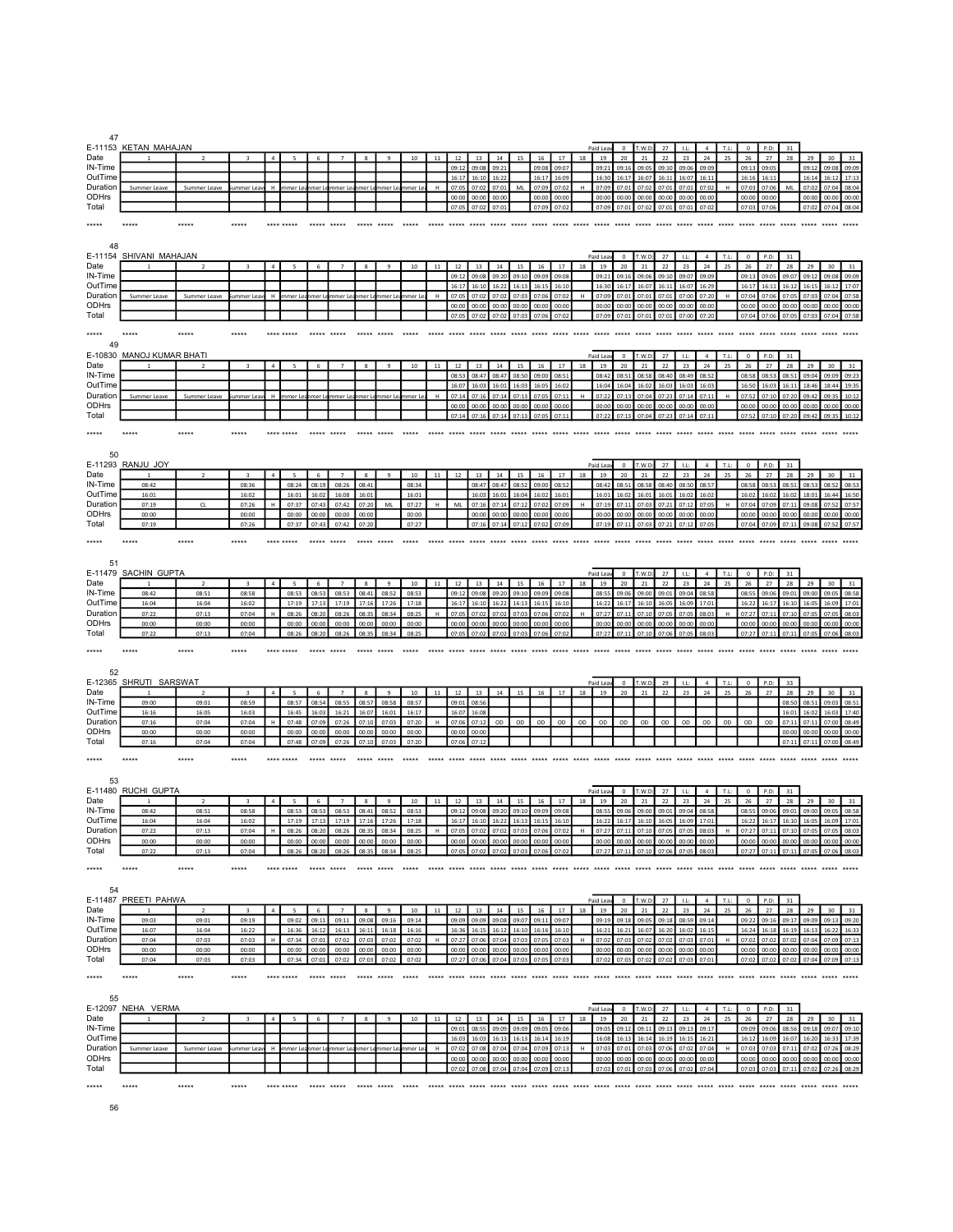| 47                                     |                          |                |                         |                |                |                 |                                |                       |                 |                 |        |                |                |                         |                |                |                                     |             |                |                                     |                |                      |                |                      |             |                  |                |                |                                     |                          |                |
|----------------------------------------|--------------------------|----------------|-------------------------|----------------|----------------|-----------------|--------------------------------|-----------------------|-----------------|-----------------|--------|----------------|----------------|-------------------------|----------------|----------------|-------------------------------------|-------------|----------------|-------------------------------------|----------------|----------------------|----------------|----------------------|-------------|------------------|----------------|----------------|-------------------------------------|--------------------------|----------------|
| Date                                   | E-11153 KETAN MAHAJAN    |                |                         |                |                |                 |                                |                       |                 | 10              | 11     | 12             | 13             | 14                      | 15             | 16             | 17                                  | 18          | Paid Lea<br>19 | 20                                  | T.W.D<br>21    | 27<br>22             | 23             | $\bf{24}$            | T.L<br>25   | $^{\circ}$<br>26 | P.D<br>27      | 31<br>28       | 29                                  | 30                       | 31             |
| IN-Time                                |                          |                |                         |                |                |                 |                                |                       |                 |                 |        | 09:12          | 09:08          | 09:2                    |                | 09:08          | 09:07                               |             | 09:21          | 09:16                               | 09:09          | 09:10                | 09:06          | 09:09                |             | 09:13            | 09:05          |                | 09:12                               | 09:08                    | 09:09          |
| OutTime                                |                          |                |                         |                |                |                 |                                |                       |                 |                 |        | 16:17          | 16:10          | 16:22                   |                | 16:17          | 16:09                               |             | 16:30          | 16:17                               | 16:07          | 16:11                | 16:07          | 16:11                |             | 16:16            | 16:11          |                | 16:14                               | 16:12                    | 17:13          |
| Duration                               | Summer Leave             | Summer Leave   | ummer Le                |                | mmer Le        |                 | mmer Le                        |                       | anmer Lemmer Le | mmer L          | H      | 07:0           | 07:0           | 07:01                   | ML             | 07:0           | 07:02                               |             | 07:09          | 07:01                               | 07:02          | 07:01                | 07:01          | 07:02                |             | 07:03            | 07:06          | ML             | 07:02                               | 07:04                    | 08:04          |
| ODHrs<br>Total                         |                          |                |                         |                |                |                 |                                |                       |                 |                 |        | 00:00<br>07:05 | 00:00<br>07:02 | 00:00<br>07:0           |                | 00:00<br>07:09 | 00:00<br>07:0                       |             | 00:00<br>07:09 | 00:00                               | 00:00<br>07:02 | 00:00<br>07:01       | 00:00<br>07:0  | 00:00                |             | 00:00<br>07:0    | 00:00<br>07:0  |                | 00:00<br>07:0                       | 00:00<br>07:04           | 00:00          |
|                                        |                          |                |                         |                |                |                 |                                |                       |                 |                 |        |                |                |                         |                |                |                                     |             |                |                                     |                |                      |                |                      |             |                  |                |                |                                     |                          |                |
| *****                                  |                          |                |                         |                |                |                 |                                |                       |                 |                 |        |                |                |                         |                |                |                                     |             |                |                                     |                |                      |                |                      |             |                  |                |                |                                     |                          |                |
|                                        |                          |                |                         |                |                |                 |                                |                       |                 |                 |        |                |                |                         |                |                |                                     |             |                |                                     |                |                      |                |                      |             |                  |                |                |                                     |                          |                |
| 48                                     | E-11154 SHIVANI MAHAJAN  |                |                         |                |                |                 |                                |                       |                 |                 |        |                |                |                         |                |                |                                     |             | Paid Leav      | $^{\circ}$                          | T.W.D          | 27                   | 1.1            | $\overline{4}$       | T.L:        | $\circ$          | P.D:           | 31             |                                     |                          |                |
| Date                                   |                          | $\overline{z}$ | $\overline{\mathbf{3}}$ | $\overline{a}$ | 5              | 6               | $\overline{7}$                 | 8                     | 9               | $10\,$          | 11     | 12             | 13             | 14                      | 15             | 16             | 17                                  | 18          | 19             | 20                                  | 21             | 22                   | 23             | 24                   | 25          | 26               | 27             | 28             | 29                                  | 30                       | 31             |
| IN-Time                                |                          |                |                         |                |                |                 |                                |                       |                 |                 |        | 09:1           | 09:08          | 09:20                   | 09:10          | 09:09          | 09:08                               |             | 09:21          | 09:16                               | 09:06          | 09:10                | 09:07          | 09:09                |             | 09:13            | 09:05          | 09:07          | 09:12                               | 09:08                    | 09:09          |
| OutTime<br>Duration                    | Summer Leave             | Summer Leave   |                         |                |                |                 |                                |                       |                 |                 | H      | 16:1           | 16:10          | 16:22                   | 16:13          | 16:1!          | 16:10                               |             | 16:30          | 16:17                               | 16:07          | 16:11                | 16:07          | 16:29                |             | 16:17            | 16:11          | 16:12          | 16:15                               | 16:12                    | 17:07          |
| ODHrs                                  |                          |                | immer Lea               | H              | mmer Le        | ner l           | nmer Leanmer L                 |                       | mmer Le         | mer L           |        | 07:05<br>00:00 | 07:02<br>00:00 | 07:02<br>00:00          | 07:03<br>00:00 | 07:06<br>00:00 | 07:02<br>00:00                      | $\mathsf H$ | 07:09<br>00:00 | 07:01<br>00:00                      | 07:01<br>00:00 | 07:01<br>00:00       | 07:00<br>00:00 | 07:20<br>00:00       | н           | 07:04<br>00:00   | 07:06<br>00:00 | 07:05<br>00:00 | 07:03<br>00:00                      | 07:04<br>00:00           | 07:58<br>00:00 |
| Total                                  |                          |                |                         |                |                |                 |                                |                       |                 |                 |        | 07:05          | 07:02          | 07:02                   | 07:03          | 07:06          | 07:02                               |             | 07:09          | 07:01                               | 07:01          | 07:01                | 07:00          | 07:20                |             | 07:04            | 07:06          | 07:05          | 07:03                               | 07:04                    | 07:58          |
| *****                                  | *****                    | *****          | *****                   |                |                |                 |                                |                       |                 |                 |        |                |                |                         |                |                |                                     |             |                |                                     |                |                      |                |                      |             |                  |                |                |                                     |                          |                |
| 49                                     |                          |                |                         |                |                |                 |                                |                       |                 |                 |        |                |                |                         |                |                |                                     |             |                |                                     |                |                      |                |                      |             |                  |                |                |                                     |                          |                |
| E-10830                                | <b>MANOJ KUMAR BHATI</b> |                |                         |                |                |                 |                                |                       |                 |                 |        |                |                |                         |                |                |                                     |             | Paid Lea       | $\Omega$                            | T.W.D          | 27                   | 11             | $\mathbf{A}$         | T.L:        | $\mathbf{0}$     | P.D:           | 31             |                                     |                          |                |
| Date                                   |                          |                |                         | $\overline{a}$ |                | 6               |                                | $\mathbf{\mathsf{R}}$ | q               | $10\,$          | 11     | 12             | 13             | $14\,$                  | 15             | 16             | 17                                  | 18          | 19             | 20                                  | 21             |                      | 23             | 24                   | 25          | 26               | 27             | 28             | 29                                  | 30                       | 31             |
| IN-Time                                |                          |                |                         |                |                |                 |                                |                       |                 |                 |        | 08:53          | 08:4           | 08:4                    | 08:50          | 09:00          | 08:5                                |             | 08:42          | 08:5                                | 08:58          | 08:40                | 08:49          | 08:52                |             | 08:58            | 08:5           | 08:51          | 09:04                               | 09:09                    | 09:23          |
| OutTime<br>Duration                    | Summer Leave             | Summer Leave   | ummer Lea               |                | H immer Lea    | nmer Le         | mmer Leanmer Lemmer Leammer Le |                       |                 |                 | H      | 16:0<br>07:14  | 16:0<br>07:16  | 16:0<br>07:14           | 16:0<br>07:13  | 16:0<br>07:05  | 16:02<br>07:11                      | H           | 16:0<br>07:22  | 16:0<br>07:13                       | 16:0<br>07:04  | 16:0<br>07:23        | 16:0<br>07:14  | 16:03<br>07:11       | H           | 16:51<br>07:52   | 16:0<br>07:10  | 16:11<br>07:20 | 18:46<br>09:42                      | 09:35                    | 19:35<br>10:12 |
| ODHrs                                  |                          |                |                         |                |                |                 |                                |                       |                 |                 |        | 00:00          | 00:00          | 00:00                   | 00:00          | 00:00          | 00:00                               |             | 00:00          | 00:00                               | 00:00          | 00:00                | 00:00          | 00:00                |             | 00:00            | 00:00          | 00:00          | 00:00                               | 00:00                    | 00:00          |
| Total                                  |                          |                |                         |                |                |                 |                                |                       |                 |                 |        | 07:14          | 07:16          | 07:14                   | 07:13          | 07:05          | 07:11                               |             | 07:22          | 07:13                               | 07:04          | 07:23                | 07:14          | 07:11                |             | 07:52            | 07:10          | 07:20          | 09:42                               | 09:35                    | 10:12          |
| *****                                  | *****                    | *****          | *****                   |                | **** *****     | ***** *****     |                                |                       |                 |                 |        |                |                |                         |                |                | ***** *****                         |             |                |                                     |                |                      |                |                      |             |                  |                |                |                                     |                          |                |
|                                        |                          |                |                         |                |                |                 |                                |                       |                 |                 |        |                |                |                         |                |                |                                     |             |                |                                     |                |                      |                |                      |             |                  |                |                |                                     |                          |                |
| 50                                     |                          |                |                         |                |                |                 |                                |                       |                 |                 |        |                |                |                         |                |                |                                     |             |                |                                     |                |                      |                |                      |             |                  |                |                |                                     |                          |                |
|                                        | E-11293 RANJU JOY        |                |                         |                |                |                 |                                |                       |                 |                 |        |                |                |                         |                |                |                                     |             | Paid Lea       | $\circ$                             | T.W.D          | 27                   | LL             | $\overline{4}$       | T.L:        | $\circ$          | P.D            | 31             |                                     |                          |                |
| Date<br>IN-Time                        |                          |                | $\overline{\mathbf{3}}$ |                |                | 6               | $\overline{7}$<br>08:26        | 8<br>08:41            | $\mathbf{q}$    | $10\,$<br>08:34 | $11\,$ | $12\,$         | 13             | 14<br>08:47             | 15             | 16             | 17<br>08:52                         | 18          | 19<br>08:42    | 20<br>08:51                         | 21<br>08:58    | 22<br>08:40          | 23<br>08:50    | 24<br>08:57          | 25          | 26               | 27<br>08:53    | 28<br>08:51    | 29<br>08:53                         | 30 <sub>o</sub><br>08:52 | 31<br>08:53    |
| OutTime                                | 08:42<br>16:01           |                | 08:36<br>16:02          |                | 08:24<br>16:01 | 08:19<br>16:02  | 16:08                          | 16:01                 |                 | 16:01           |        |                | 08:47<br>16:03 | 16:01                   | 08:52<br>16:04 | 09:00<br>16:02 | 16:01                               |             | 16:01          | 16:02                               | 16:01          | 16:01                | 16:02          | 16:02                |             | 08:58<br>16:02   | 16:02          | 16:02          | 18:01                               | 16:44                    | 16:50          |
| Duration                               | 07:19                    | CL             | 07:26                   | H              | 07:37          | 07:43           | 07:42                          | 07:20                 | ML              | 07:27           | H      | ML             | 07:16          | 07:14                   | 07:12          | 07:02          | 07:09                               | H           | 07:19          | 07:11                               | 07:03          | 07:21                | 07:12          | 07:05                | H           | 07:04            | 07:09          | 07:11          | 09:08                               | 07:52                    | 07:57          |
| ODHrs                                  | 00:00                    |                | 00:00                   |                | 00:00          | 00:00           | 00:00                          | 00:00                 |                 | 00:00           |        |                | 00:00          | 00:00                   | 00:00          | 00:00          | 00:00                               |             | 00:00          | 00:00                               | 00:00          | 00:00                | 00:00          | 00:00                |             | 00:00            | 00:00          | 00:00          | 00:00                               | 00:00                    | 00:00          |
| Total                                  | 07:19                    |                | 07:26                   |                | 07:37          | 07:43           | 07:42                          | 07:20                 |                 | 07:27           |        |                | 07:16          | 07:14                   | 07:12          | 07:02          | 07:05                               |             | 07:19          | 07:11                               | 07:03          | 07:21                | 07:12          | 07:05                |             | 07:04            | 07:09          | 07:11          | 09:08                               |                          |                |
| *****                                  | *****                    |                |                         |                |                |                 |                                |                       |                 |                 |        |                |                |                         |                |                |                                     |             |                |                                     |                |                      |                |                      |             |                  |                |                |                                     |                          |                |
|                                        |                          |                |                         |                |                |                 |                                |                       |                 |                 |        |                |                |                         |                |                |                                     |             |                |                                     |                |                      |                |                      |             |                  |                |                |                                     |                          |                |
| 51                                     | E-11479 SACHIN GUPTA     |                |                         |                |                |                 |                                |                       |                 |                 |        |                |                |                         |                |                |                                     |             | Paid Lea       | $^{\circ}$                          | T.W.D          | 27                   | LL             | $\overline{a}$       | T.L:        | $\overline{0}$   | P.D:           | 31             |                                     |                          |                |
| Date                                   | $\overline{1}$           | $\overline{2}$ | $\overline{\mathbf{3}}$ | $\overline{a}$ | 5              | 6               | $\overline{7}$                 | 8                     | 9               | 10              | 11     | 12             | 13             | 14                      | 15             | 16             | 17                                  | 18          | 19             | 20                                  | 21             | 22                   | 23             | 24                   | 25          | 26               | 27             | 28             | 29                                  | 30                       | 31             |
| IN-Time                                | 08:42                    | 08:51          | 08:58                   |                | 08:53          |                 | 08:53                          | 08:41                 | 08:52           | 08:53           |        | 09:1           | 09:0           | 09:2                    | 09:1           | 09:0           | 09:08                               |             | 08:55          | 09:0                                | 09:0           | 09:01                | 09:04          | 08:58                |             | 08:5!            | 09:06          | 09:01          | 09:00                               | 09:09                    | 08:58          |
| OutTime                                | 16:04                    | 16:04          | 16:02                   |                | 17:19          | 17:13           | 17:19                          | 17:16                 | 17:26           | 17:18           |        | 16:17          | 16:10          | 16:22                   | 16:13          | 16:15          | 16:10                               |             | 16:22          | 16:17                               | 16:10          | 16:05                | 16:09          | 17:01                |             | 16:22            | 16:17          | 16:10          | 16:05                               | 16:09                    | 17:01          |
| Duration<br>ODHrs                      | 07:22<br>00:00           | 07:13<br>00:00 | 07:04<br>00:00          | н              | 08:26<br>00:00 | 08:20<br>00:00  | 08:26<br>00:00                 | 08:35<br>00:00        | 08:34<br>00:00  | 08:25<br>00:00  | H      | 07:05<br>00:00 | 07:02<br>00:00 | 07:02<br>00:00          | 07:03<br>00:00 | 07:06<br>00:00 | 07:02<br>00:00                      | H           | 07:27<br>00:00 | 07:11<br>00:00                      | 07:10<br>00:00 | 07:0<br>00:00        | 07:05<br>00:00 | 08:03<br>00:00       | $\mathsf H$ | 07:27<br>00:00   | 07:11<br>00:00 | 07:10<br>00:00 | 07:05<br>00:00                      | 07:05<br>00:00           | 08:03<br>00:00 |
| Total                                  | 07:22                    | 07:13          | 07:04                   |                | 08:26          | 08:20           | 08:26                          | 08:35                 | 08:34           | 08:25           |        | 07:05          | 07:02          | 07:02                   | 07:03          | 07:06          | 07:02                               |             | 07:27          | 07:11                               | 07:10          | 07:01                | 07:0           | 08:03                |             | 07:27            | 07:11          | 07:11          | 07:05                               | 07:06                    |                |
|                                        | *****                    |                |                         |                | **** *****     |                 |                                |                       |                 |                 |        |                |                |                         |                |                |                                     |             |                |                                     |                |                      |                |                      |             |                  |                |                |                                     |                          |                |
| *****                                  |                          | *****          | *****                   |                |                |                 |                                |                       |                 |                 |        |                |                |                         |                |                |                                     |             |                |                                     |                |                      |                |                      |             |                  |                |                |                                     |                          |                |
| 52                                     |                          |                |                         |                |                |                 |                                |                       |                 |                 |        |                |                |                         |                |                |                                     |             |                |                                     |                |                      |                |                      |             |                  |                |                |                                     |                          |                |
| E-12365                                | SHRUTI SARSWAT           |                |                         |                |                |                 |                                |                       |                 |                 |        |                |                |                         |                |                |                                     |             | Paid Lea       | $^{\circ}$                          | T.W.D          | 29                   | LL             | $\overline{4}$       | T.L         | $\Omega$         | P.D:           | 33             |                                     |                          |                |
| Date                                   |                          |                |                         | $\Lambda$      |                | 6               | $\overline{7}$                 | $\mathbf{R}$          | q               | $10$            | 11     | $12\,$         | 13             | 14                      | 15             | 16             | 17                                  | 18          | 19             | 20                                  | 21             | 22                   | 23             | 24                   | 25          | 26               | 27             | 28             | 29                                  | 30                       | 31             |
| IN-Time<br>OutTime                     | 09:00<br>16:16           | 09:01<br>16:05 | 08:59                   |                | 08:57          |                 | 08:55                          | 08:57                 | 08:58           | 08:57           |        | 09:01          | 08:5           |                         |                |                |                                     |             |                |                                     |                |                      |                |                      |             |                  |                | 08:50          | 16:0                                | 09:03                    | 08:51<br>17:40 |
| Duration                               | 07:16                    |                |                         |                |                |                 |                                |                       |                 |                 |        |                |                |                         |                |                |                                     |             |                |                                     | OD             | OD                   | OD             | OD                   | OD          |                  |                |                |                                     |                          | 08:49          |
| ODHrs                                  |                          | 07:04          | 16:03<br>07:04          |                | 16:45<br>07:48 | 16:03<br>07:09  | 16:21<br>07:26                 | 16:07<br>07:10        | 16:01<br>07:03  | 16:17<br>07:20  |        | 16:0<br>07:06  | 16:0<br>07:12  | OD                      | OD             | OD             | OD                                  | OD          | OD             | OD                                  |                |                      |                |                      |             | OD               | OD             | 16:0<br>07:11  | 07:11                               | 07:00                    |                |
| Total                                  | 00:00                    | 00:00          | 00:00                   |                | 00:00          | 00:00           | 00:00                          | 00:00                 | 00:00           | 00:00           |        | 00:00          | 00:00          |                         |                |                |                                     |             |                |                                     |                |                      |                |                      |             |                  |                | 00:00          | 00:00                               | 00:00                    | 00:00          |
|                                        | 07:16                    | 07:04          | 07:04                   |                | 07:48          | 07:09           | 07:26                          |                       | 07:10 07:03     | 07:20           |        | 07:06          | 07:12          |                         |                |                |                                     |             |                |                                     |                |                      |                |                      |             |                  |                |                | 07:11 07:11 07:00 08:49             |                          |                |
| *****                                  | *****                    | *****          | *****                   |                |                |                 |                                |                       |                 |                 |        |                |                |                         |                |                |                                     |             |                |                                     |                |                      |                |                      |             |                  |                |                |                                     |                          |                |
|                                        |                          |                |                         |                |                |                 |                                |                       |                 |                 |        |                |                |                         |                |                |                                     |             |                |                                     |                |                      |                |                      |             |                  |                |                |                                     |                          |                |
| 53                                     |                          |                |                         |                |                |                 |                                |                       |                 |                 |        |                |                |                         |                |                |                                     |             |                |                                     |                |                      |                |                      |             |                  |                |                |                                     |                          |                |
| Date                                   | E-11480 RUCHI GUPTA      |                | $\overline{\mathbf{3}}$ |                |                | 6               |                                | 8                     | $\overline{9}$  | $10\,$          | 11     | 12             | 13             | 14                      | 15             | 16             | 17                                  | 18          | Paid Lea<br>19 | $^{\circ}$<br>20                    | T.W.D<br>21    | 27<br>22             | LL:<br>23      | $\overline{a}$<br>24 | T.L:<br>25  | $\circ$<br>26    | P.D:<br>27     | 31<br>28       | 29                                  | 30                       | 31             |
|                                        | 08:42                    | 08:51          | 08:58                   |                | 08:53          | 08:53           | 08:53                          | 08:41                 | 08:52           | 08:53           |        | 09:12          | 09:08          | 09:20                   | 09:10          | 09:09          | 09:08                               |             | 08:55          | 09:06                               | 09:00          | 09:01 09:04          |                | 08:58                |             | 08:55            | 09:06          | 09:01          | 09:00                               | 09:05                    | 08:58          |
| IN-Time<br>OutTime                     | 16:04                    | 16:04          | 16:02                   |                | 17:19          | 17:13           | 17:19                          |                       | 17:16 17:26     | 17:18           |        |                |                |                         |                |                | 16:17 16:10 16:22 16:13 16:15 16:10 |             |                | 16:22 16:17 16:10 16:05 16:09 17:01 |                |                      |                |                      |             |                  |                |                | 16:22 16:17 16:10 16:05 16:09 17:01 |                          |                |
| Duration                               | 07:22                    | 07:13          | 07:04                   | H              | 08:26          | 08:20           | 08:26                          | 08:35                 | 08:34           | 08:25           | H      | 07:05          | 07:02          | 07:02                   | 07:03          | 07:06          | 07:02                               | H           |                | 07:27 07:11 07:10 07:05             |                |                      | 07:05          | 08:03                | H           | 07:27            | 07:11          | 07:10          | 07:05                               | 07:05                    | 08:03          |
| ODHrs<br>Total                         | 00:00<br>07:22           | 00:00<br>07:13 | 00:00<br>07:04          |                | 00:00<br>08:26 | 00:00<br>08:20  | 00:00<br>08:26                 | 00:00<br>08:35        | 00:00<br>08:34  | 00:00<br>08:25  |        | 00:00<br>07:05 | 00:00<br>07:02 | 00:00<br>07:02          | 00:00<br>07:03 | 00:00<br>07:06 | 00:00<br>07:02                      |             | 00:00<br>07:27 | 00:00<br>07:11 07:10                | 00:00          | 00:00<br>07:06 07:05 | 00:00          | 00:00<br>08:03       |             | 00:00<br>07:27   | 00:00<br>07:11 | 00:00<br>07:11 | 00:00<br>07:05                      | 00:00<br>07:06           | 00:00<br>08:03 |
|                                        |                          |                |                         |                |                |                 |                                |                       |                 |                 |        |                |                |                         |                |                |                                     |             |                |                                     |                |                      |                |                      |             |                  |                |                |                                     |                          |                |
| *****                                  | *****                    | *****          | *****                   |                | **** *****     | ***** *****     |                                | ***** *****           |                 |                 |        |                |                |                         |                |                |                                     |             |                |                                     |                |                      |                |                      |             |                  |                |                |                                     |                          |                |
|                                        |                          |                |                         |                |                |                 |                                |                       |                 |                 |        |                |                |                         |                |                |                                     |             |                |                                     |                |                      |                |                      |             |                  |                |                |                                     |                          |                |
| 54                                     | E-11487 PREETI PAHWA     |                |                         |                |                |                 |                                |                       |                 |                 |        |                |                |                         |                |                |                                     |             | Paid Lea       | $\circ$                             | T.W.D          | 27                   | 1.1            | $\overline{a}$       | T.L:        | $^{\circ}$       | P.D:           | 31             |                                     |                          |                |
| Date                                   | $\overline{1}$           | $\overline{2}$ | $\overline{\mathbf{3}}$ | $\overline{a}$ | 5              | $6\overline{6}$ | $\overline{7}$                 | 8                     | $\overline{9}$  | $10$            | $11\,$ | 12             | 13             | 14                      | 15             | 16             | 17                                  | 18          | 19             | 20                                  | 21             | 22                   | 23             | 24                   | 25          | 26               | 27             | 28             | 29                                  | 30                       | 31             |
| IN-Time                                | 09:03                    | 09:01          | 09:19                   |                | 09:02          | 09:11           | 09:11                          | 09:08                 | 09:16           | 09:14           |        | 09:0           | 09:0           | 09:0                    | 09:0           | 09:1           | 09:0                                |             | 09:19          | 09:1                                | 09:0           | 09:18                | 08:5!          | 09:14                |             | 09:2             | 09:1           | 09:1           | 09:0                                | 09:13                    | 09:20          |
| OutTime                                | 16:07                    | 16:04          | 16:22                   |                | 16:36          | 16:12           | 16:13                          | 16:11                 | 16:18           | 16:16           |        | 16:36<br>07.2  | 16:19<br>07:0  | 16:12<br>07:04          | 16:10<br>07:0  | 16:16<br>07:0  | 16:10<br>07:0                       |             | 16:2<br>07:0   | 16:2<br>07:0                        | 16:07          | 16:20<br>07:0        | 16:02<br>07:0  | 16:19                |             | 16:24<br>07:0    | 16:18          | 16:19<br>07:0  | 16:13                               | 16:22                    | 16:33          |
| Duration<br>ODHrs                      | 07:04<br>00:00           | 07:03<br>00:00 | 07:03<br>00:00          |                | 07:34<br>00:00 | 07:0<br>00:00   | 07:02<br>00:00                 | 07:03<br>00:00        | 07:02<br>00:00  | 07:02<br>00:00  |        | 00:00          | 00:00          | 00:00                   | 00:00          | 00:00          | 00:00                               |             | 00:00          | 00:00                               | 00:00          | 00:00                | 00:00          | 07:0<br>00:00        |             | 00:00            | 07:0<br>00:00  | 00:00          | 07:04<br>00:00                      | 07:09<br>00:00           | 07:13<br>00:00 |
| Total                                  | 07:04                    | 07:03          | 07:03                   |                | 07:34          | 07:01           | 07:02                          | 07:03                 | 07:02           | 07:02           |        | 07:27          | 07:06          | 07:04                   | 07:03          | 07:05          | 07:03                               |             | 07:02          | $07:03$ 07:02                       |                | 07:02                | 07:03          | 07:01                |             | 07:02            | 07:02          | 07:02          | 07:04                               | 07:09                    | 07:13          |
| *****                                  | *****                    | *****          | *****                   |                | **** *****     | $******$        |                                |                       |                 |                 |        |                |                |                         |                |                |                                     |             |                |                                     |                |                      |                |                      |             |                  |                |                |                                     |                          |                |
|                                        |                          |                |                         |                |                |                 |                                |                       |                 |                 |        |                |                |                         |                |                |                                     |             |                |                                     |                |                      |                |                      |             |                  |                |                |                                     |                          |                |
| 55                                     |                          |                |                         |                |                |                 |                                |                       |                 |                 |        |                |                |                         |                |                |                                     |             |                |                                     |                |                      |                |                      |             |                  |                |                |                                     |                          |                |
|                                        | E-12097 NEHA VERMA       |                |                         |                |                |                 |                                |                       |                 |                 |        |                |                |                         |                |                |                                     |             | Paid Leav      | $\circ$                             | T.W.D          | 27                   | $1.1$ :        | $\overline{4}$       | T.L:        | $\circ$          | P.D:           | 31             |                                     |                          |                |
|                                        |                          | $\overline{z}$ | $\overline{\mathbf{3}}$ | $\mathbf{A}$   | 5              | 6               | $\overline{7}$                 | $\mathbf{R}$          | $\mathsf q$     | 10              | 11     | 12             | 13<br>08.55    | 14                      | 15             | 16             | 17                                  | 18          | 19             | 20                                  | 21             | 22                   | 23             | 24                   | 25          | 26               | 27             | 28<br>08:51    | 29                                  | 30                       | 31             |
|                                        |                          |                |                         |                |                |                 |                                |                       |                 |                 |        | 09:01<br>16:03 |                | 09:09<br>16:13          | 09:09<br>16:13 | 09:05<br>16:14 | 09:06<br>16:19                      |             | 09:09<br>16:08 | 09:12<br>16:13                      | 09:1<br>16:14  | 09:13<br>16:19       | 09:13<br>16:15 | 09:17<br>16:21       |             | 09:09<br>16:12   | 09:0<br>16:09  | 16:07          | 09:18<br>16:20                      | 09:07<br>16:33           | 09:10<br>17:39 |
| Date<br>IN-Time<br>OutTime<br>Duration | Summer Leave             | Summer Leave   | summer Lea              | H              | mmer Lea       | nmer L          | mmer Leanmer Lemmer Leammer Le |                       |                 |                 | H      | 07:02          | 07:08          | 07:04                   | 07:04          | 07:09          | 07:13                               |             | 07:03          | 07:01                               | 07:03          | 07:01                | 07:02          | 07:04                |             | 07:03            | 07:03          | 07:11          | 07:02                               | 07:26                    | 08:29          |
| <b>ODHrs</b>                           |                          |                |                         |                |                |                 |                                |                       |                 |                 |        | 00:00          | 00:00          | 00:00                   | 00:00          | 00:00          | 00:00                               |             | 00:00          | 00:00                               | 00:00          | 00:00                | 00:00          | 00:00                |             | 00:00            | 00:00          | 00:00          | 00:00                               | 00:00                    | 00:00          |
| Total                                  |                          |                |                         |                |                |                 |                                |                       |                 |                 |        | 07:02          | 07:08          | 07:04 07:04 07:09 07:13 |                |                |                                     |             | 07:03          | 07:01                               | 07:03          | 07:06 07:02          |                | 07:04                |             | 07:03            | 07:03          | 07:11          | 07:02                               | 07:26                    | 08:29          |
| *****                                  | *****                    | *****          | *****                   |                | **** *****     | ***** *****     |                                | ***** *****           |                 | *****           |        |                |                |                         |                |                |                                     |             |                |                                     |                |                      |                |                      |             |                  |                |                |                                     |                          |                |